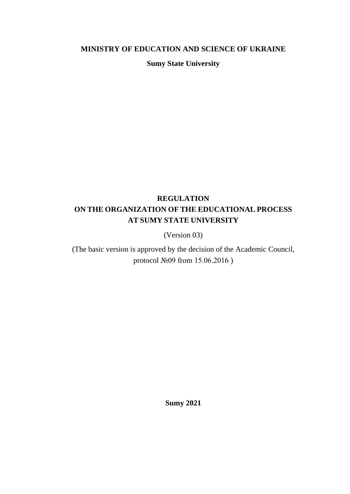### **MINISTRY OF EDUCATION AND SCIENCE OF UKRAINE**

**Sumy State University**

# **REGULATION ON THE ORGANIZATION OF THE EDUCATIONAL PROCESS AT SUMY STATE UNIVERSITY**

(Version 03)

(The basic version is approved by the decision of the Academic Council, protocol №09 from 15.06.2016 )

**Sumy 2021**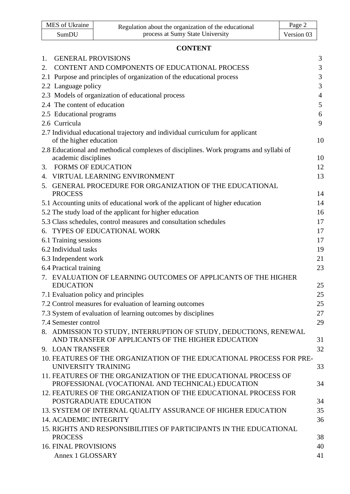| MES of Ukraine | Regulation about the organization of the educational | Page 2     |
|----------------|------------------------------------------------------|------------|
| SumDU          | process at Sumy State University                     | Version 03 |

# **CONTENT**

| 1. | <b>GENERAL PROVISIONS</b>                                                                                               | $\mathfrak{Z}$ |
|----|-------------------------------------------------------------------------------------------------------------------------|----------------|
| 2. | CONTENT AND COMPONENTS OF EDUCATIONAL PROCESS                                                                           | 3              |
|    | 2.1 Purpose and principles of organization of the educational process                                                   | 3              |
|    | 2.2 Language policy                                                                                                     | 3              |
|    | 2.3 Models of organization of educational process                                                                       | $\overline{4}$ |
|    | 2.4 The content of education                                                                                            | 5              |
|    | 2.5 Educational programs                                                                                                | 6              |
|    | 2.6 Curricula                                                                                                           | 9              |
|    | 2.7 Individual educational trajectory and individual curriculum for applicant                                           |                |
|    | of the higher education                                                                                                 | 10             |
|    | 2.8 Educational and methodical complexes of disciplines. Work programs and syllabi of<br>academic disciplines           | 10             |
| 3. | <b>FORMS OF EDUCATION</b>                                                                                               | 12             |
|    | 4. VIRTUAL LEARNING ENVIRONMENT                                                                                         | 13             |
|    | 5. GENERAL PROCEDURE FOR ORGANIZATION OF THE EDUCATIONAL                                                                |                |
|    | <b>PROCESS</b>                                                                                                          | 14             |
|    | 5.1 Accounting units of educational work of the applicant of higher education                                           | 14             |
|    | 5.2 The study load of the applicant for higher education                                                                | 16             |
|    | 5.3 Class schedules, control measures and consultation schedules                                                        | 17             |
|    | 6. TYPES OF EDUCATIONAL WORK                                                                                            | 17             |
|    | 6.1 Training sessions                                                                                                   | 17             |
|    | 6.2 Individual tasks                                                                                                    | 19             |
|    | 6.3 Independent work                                                                                                    | 21             |
|    | 6.4 Practical training                                                                                                  | 23             |
|    | 7. EVALUATION OF LEARNING OUTCOMES OF APPLICANTS OF THE HIGHER<br><b>EDUCATION</b>                                      | 25             |
|    | 7.1 Evaluation policy and principles                                                                                    | 25             |
|    | 7.2 Control measures for evaluation of learning outcomes                                                                | 25             |
|    | 7.3 System of evaluation of learning outcomes by disciplines                                                            | 27             |
|    | 7.4 Semester control                                                                                                    | 29             |
|    | 8. ADMISSION TO STUDY, INTERRUPTION OF STUDY, DEDUCTIONS, RENEWAL<br>AND TRANSFER OF APPLICANTS OF THE HIGHER EDUCATION | 31             |
|    | 9. LOAN TRANSFER                                                                                                        | 32             |
|    | 10. FEATURES OF THE ORGANIZATION OF THE EDUCATIONAL PROCESS FOR PRE-<br>UNIVERSITY TRAINING                             | 33             |
|    | 11. FEATURES OF THE ORGANIZATION OF THE EDUCATIONAL PROCESS OF<br>PROFESSIONAL (VOCATIONAL AND TECHNICAL) EDUCATION     | 34             |
|    | 12. FEATURES OF THE ORGANIZATION OF THE EDUCATIONAL PROCESS FOR<br>POSTGRADUATE EDUCATION                               | 34             |
|    | 13. SYSTEM OF INTERNAL QUALITY ASSURANCE OF HIGHER EDUCATION                                                            | 35             |
|    | <b>14. ACADEMIC INTEGRITY</b>                                                                                           | 36             |
|    | 15. RIGHTS AND RESPONSIBILITIES OF PARTICIPANTS IN THE EDUCATIONAL<br><b>PROCESS</b>                                    | 38             |
|    | <b>16. FINAL PROVISIONS</b>                                                                                             | 40             |
|    | Annex 1 GLOSSARY                                                                                                        | 41             |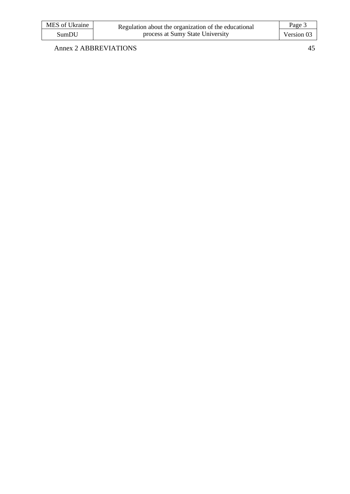| MES of Ukraine | Regulation about the organization of the educational | Page 3     |
|----------------|------------------------------------------------------|------------|
| SumDU          | process at Sumy State University                     | Version 03 |

Annex 2 ABBREVIATIONS 45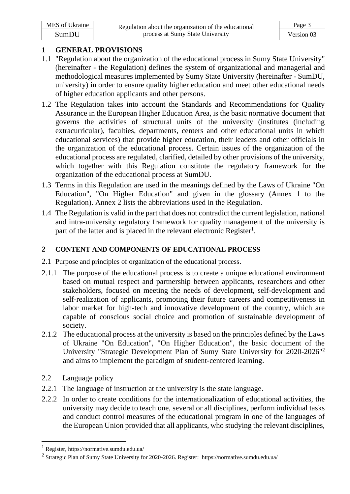| MES of Ukraine | Regulation about the organization of the educational | Page 3     |
|----------------|------------------------------------------------------|------------|
| SumDU          | process at Sumy State University                     | Version 03 |

# **1 GENERAL PROVISIONS**

- 1.1 "Regulation about the organization of the educational process in Sumy State University" (hereinafter - the Regulation) defines the system of organizational and managerial and methodological measures implemented by Sumy State University (hereinafter - SumDU, university) in order to ensure quality higher education and meet other educational needs of higher education applicants and other persons.
- 1.2 The Regulation takes into account the Standards and Recommendations for Quality Assurance in the European Higher Education Area, is the basic normative document that governs the activities of structural units of the university (institutes (including extracurricular), faculties, departments, centers and other educational units in which educational services) that provide higher education, their leaders and other officials in the organization of the educational process. Certain issues of the organization of the educational process are regulated, clarified, detailed by other provisions of the university, which together with this Regulation constitute the regulatory framework for the organization of the educational process at SumDU.
- 1.3 Terms in this Regulation are used in the meanings defined by the Laws of Ukraine "On Education", "On Higher Education" and given in the glossary (Annex 1 to the Regulation). Annex 2 lists the abbreviations used in the Regulation.
- 1.4 The Regulation is valid in the part that does not contradict the current legislation, national and intra-university regulatory framework for quality management of the university is part of the latter and is placed in the relevant electronic Register<sup>1</sup>.

# **2 CONTENT AND COMPONENTS OF EDUCATIONAL PROCESS**

- 2.1 Purpose and principles of organization of the educational process.
- 2.1.1 The purpose of the educational process is to create a unique educational environment based on mutual respect and partnership between applicants, researchers and other stakeholders, focused on meeting the needs of development, self-development and self-realization of applicants, promoting their future careers and competitiveness in labor market for high-tech and innovative development of the country, which are capable of conscious social choice and promotion of sustainable development of society.
- 2.1.2 The educational process at the university is based on the principles defined by the Laws of Ukraine "On Education", "On Higher Education", the basic document of the University "Strategic Development Plan of Sumy State University for 2020-2026"<sup>2</sup> and aims to implement the paradigm of student-centered learning.
- 2.2 Language policy
- 2.2.1 The language of instruction at the university is the state language.
- 2.2.2 In order to create conditions for the internationalization of educational activities, the university may decide to teach one, several or all disciplines, perform individual tasks and conduct control measures of the educational program in one of the languages of the European Union provided that all applicants, who studying the relevant disciplines,

<sup>1</sup> Register, https://normative.sumdu.edu.ua/

<sup>&</sup>lt;sup>2</sup> Strategic Plan of Sumy State University for 2020-2026. Register[: https://normative.sumdu.edu.ua/](http://www.sumdu.edu.ua/ukr/general/normative-base.html)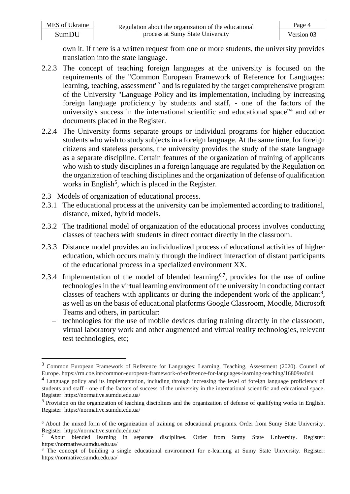| MES of Ukraine | Regulation about the organization of the educational | Page 4     |
|----------------|------------------------------------------------------|------------|
| SumDU          | process at Sumy State University                     | Version 03 |

own it. If there is a written request from one or more students, the university provides translation into the state language.

- 2.2.3 The concept of teaching foreign languages at the university is focused on the requirements of the "Common European Framework of Reference for Languages: learning, teaching, assessment<sup>13</sup> and is regulated by the target comprehensive program of the University "Language Policy and its implementation, including by increasing foreign language proficiency by students and staff, - one of the factors of the university's success in the international scientific and educational space"<sup>4</sup> and other documents placed in the Register.
- 2.2.4 The University forms separate groups or individual programs for higher education students who wish to study subjects in a foreign language. At the same time, for foreign citizens and stateless persons, the university provides the study of the state language as a separate discipline. Certain features of the organization of training of applicants who wish to study disciplines in a foreign language are regulated by the Regulation on the organization of teaching disciplines and the organization of defense of qualification works in English<sup>5</sup>, which is placed in the Register.
- 2.3 Models of organization of educational process.
- 2.3.1 The educational process at the university can be implemented according to traditional, distance, mixed, hybrid models.
- 2.3.2 The traditional model of organization of the educational process involves conducting classes of teachers with students in direct contact directly in the classroom.
- 2.3.3 Distance model provides an individualized process of educational activities of higher education, which occurs mainly through the indirect interaction of distant participants of the educational process in a specialized environment XX.
- 2.3.4 Implementation of the model of blended learning<sup>6,7</sup>, provides for the use of online technologies in the virtual learning environment of the university in conducting contact classes of teachers with applicants or during the independent work of the applicant<sup>8</sup>, as well as on the basis of educational platforms Google Classroom, Moodle, Microsoft Teams and others, in particular:
	- technologies for the use of mobile devices during training directly in the classroom, virtual laboratory work and other augmented and virtual reality technologies, relevant test technologies, etc;

<sup>3</sup> Common European Framework of Reference for Languages: Learning, Teaching, Assessment (2020). Counsil of Europe. https://rm.coe.int/common-european-framework-of-reference-for-languages-learning-teaching/16809ea0d4

<sup>&</sup>lt;sup>4</sup> Language policy and its implementation, including through increasing the level of foreign language proficiency of students and staff - one of the factors of success of the university in the international scientific and educational space. Register: https://normative.sumdu.edu.ua/

 $<sup>5</sup>$  Provision on the organization of teaching disciplines and the organization of defense of qualifying works in English.</sup> Register: https://normative.sumdu.edu.ua/

<sup>&</sup>lt;sup>6</sup> About the mixed form of the organization of training on educational programs. Order from Sumy State University. Register: <https://normative.sumdu.edu.ua/>

<sup>7</sup> About blended learning in separate disciplines. Order from Sumy State University. Register: <https://normative.sumdu.edu.ua/>

<sup>&</sup>lt;sup>8</sup> The concept of building a single educational environment for e-learning at Sumy State University. Register: <https://normative.sumdu.edu.ua/>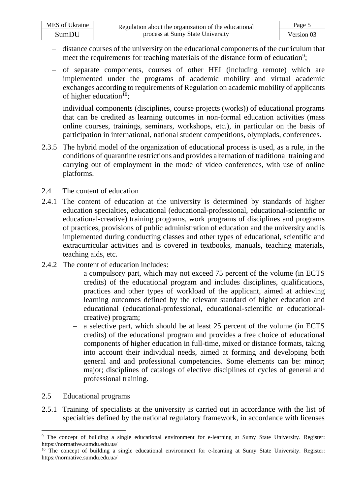- distance courses of the university on the educational components of the curriculum that meet the requirements for teaching materials of the distance form of education<sup>9</sup>;
- of separate components, courses of other HEI (including remote) which are implemented under the programs of academic mobility and virtual academic exchanges according to requirements of Regulation on academic mobility of applicants of higher education $10$ :
- individual components (disciplines, course projects (works)) of educational programs that can be credited as learning outcomes in non-formal education activities (mass online courses, trainings, seminars, workshops, etc.), in particular on the basis of participation in international, national student competitions, olympiads, conferences.
- 2.3.5 The hybrid model of the organization of educational process is used, as a rule, in the conditions of quarantine restrictions and provides alternation of traditional training and carrying out of employment in the mode of video conferences, with use of online platforms.
- 2.4 The content of education
- 2.4.1 The content of education at the university is determined by standards of higher education specialties, educational (educational-professional, educational-scientific or educational-creative) training programs, work programs of disciplines and programs of practices, provisions of public administration of education and the university and is implemented during conducting classes and other types of educational, scientific and extracurricular activities and is covered in textbooks, manuals, teaching materials, teaching aids, etc.
- 2.4.2 The content of education includes:
	- a compulsory part, which may not exceed 75 percent of the volume (in ECTS credits) of the educational program and includes disciplines, qualifications, practices and other types of workload of the applicant, aimed at achieving learning outcomes defined by the relevant standard of higher education and educational (educational-professional, educational-scientific or educationalcreative) program;
	- ‒ a selective part, which should be at least 25 percent of the volume (in ECTS credits) of the educational program and provides a free choice of educational components of higher education in full-time, mixed or distance formats, taking into account their individual needs, aimed at forming and developing both general and and professional competencies. Some elements can be: minor; major; disciplines of catalogs of elective disciplines of cycles of general and professional training.
- 2.5 Educational programs
- 2.5.1 Training of specialists at the university is carried out in accordance with the list of specialties defined by the national regulatory framework, in accordance with licenses

<sup>&</sup>lt;sup>9</sup> The concept of building a single educational environment for e-learning at Sumy State University. Register: <https://normative.sumdu.edu.ua/>

<sup>&</sup>lt;sup>10</sup> The concept of building a single educational environment for e-learning at Sumy State University. Register: <https://normative.sumdu.edu.ua/>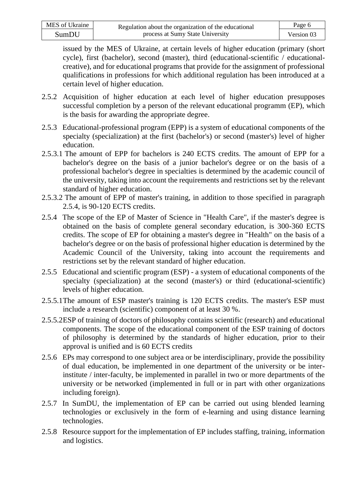| MES of Ukraine | Regulation about the organization of the educational | Page 6     |
|----------------|------------------------------------------------------|------------|
| SumDU          | process at Sumy State University                     | Version 03 |

issued by the MES of Ukraine, at certain levels of higher education (primary (short cycle), first (bachelor), second (master), third (educational-scientific / educationalcreative), and for educational programs that provide for the assignment of professional qualifications in professions for which additional regulation has been introduced at a certain level of higher education.

- 2.5.2 Acquisition of higher education at each level of higher education presupposes successful completion by a person of the relevant educational programm (EP), which is the basis for awarding the appropriate degree.
- 2.5.3 Educational-professional program (EPP) is a system of educational components of the specialty (specialization) at the first (bachelor's) or second (master's) level of higher education.
- 2.5.3.1 The amount of EPP for bachelors is 240 ECTS credits. The amount of EPP for a bachelor's degree on the basis of a junior bachelor's degree or on the basis of a professional bachelor's degree in specialties is determined by the academic council of the university, taking into account the requirements and restrictions set by the relevant standard of higher education.
- 2.5.3.2 The amount of EPP of master's training, in addition to those specified in paragraph 2.5.4, is 90-120 ECTS credits.
- 2.5.4 The scope of the EP of Master of Science in "Health Care", if the master's degree is obtained on the basis of complete general secondary education, is 300-360 ECTS credits. The scope of EP for obtaining a master's degree in "Health" on the basis of a bachelor's degree or on the basis of professional higher education is determined by the Academic Council of the University, taking into account the requirements and restrictions set by the relevant standard of higher education.
- 2.5.5 Educational and scientific program (ESP) a system of educational components of the specialty (specialization) at the second (master's) or third (educational-scientific) levels of higher education.
- 2.5.5.1The amount of ESP master's training is 120 ECTS credits. The master's ESP must include a research (scientific) component of at least 30 %.
- 2.5.5.2ESP of training of doctors of philosophy contains scientific (research) and educational components. The scope of the educational component of the ESP training of doctors of philosophy is determined by the standards of higher education, prior to their approval is unified and is 60 ECTS credits
- 2.5.6 EPs may correspond to one subject area or be interdisciplinary, provide the possibility of dual education, be implemented in one department of the university or be interinstitute / inter-faculty, be implemented in parallel in two or more departments of the university or be networked (implemented in full or in part with other organizations including foreign).
- 2.5.7 In SumDU, the implementation of EP can be carried out using blended learning technologies or exclusively in the form of e-learning and using distance learning technologies.
- 2.5.8 Resource support for the implementation of EP includes staffing, training, information and logistics.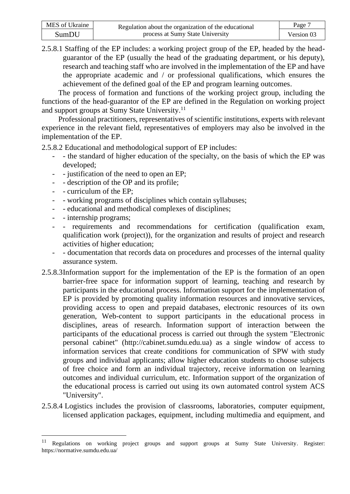| MES of Ukraine | Regulation about the organization of the educational | Page.      |
|----------------|------------------------------------------------------|------------|
| SumDU          | process at Sumy State University                     | Version 03 |

2.5.8.1 Staffing of the EP includes: a working project group of the EP, headed by the headguarantor of the EP (usually the head of the graduating department, or his deputy), research and teaching staff who are involved in the implementation of the EP and have the appropriate academic and / or professional qualifications, which ensures the achievement of the defined goal of the EP and program learning outcomes.

The process of formation and functions of the working project group, including the functions of the head-guarantor of the EP are defined in the Regulation on working project and support groups at Sumy State University.<sup>11</sup>

Professional practitioners, representatives of scientific institutions, experts with relevant experience in the relevant field, representatives of employers may also be involved in the implementation of the EP.

2.5.8.2 Educational and methodological support of EP includes:

- the standard of higher education of the specialty, on the basis of which the EP was developed;
- - justification of the need to open an EP;
- - description of the OP and its profile;
- - curriculum of the EP;
- - working programs of disciplines which contain syllabuses;
- - educational and methodical complexes of disciplines;
- - internship programs;
- - requirements and recommendations for certification (qualification exam, qualification work (project)), for the organization and results of project and research activities of higher education;
- documentation that records data on procedures and processes of the internal quality assurance system.
- 2.5.8.3Information support for the implementation of the EP is the formation of an open barrier-free space for information support of learning, teaching and research by participants in the educational process. Information support for the implementation of EP is provided by promoting quality information resources and innovative services, providing access to open and prepaid databases, electronic resources of its own generation, Web-content to support participants in the educational process in disciplines, areas of research. Information support of interaction between the participants of the educational process is carried out through the system "Electronic personal cabinet" (http://cabinet.sumdu.edu.ua) as a single window of access to information services that create conditions for communication of SPW with study groups and individual applicants; allow higher education students to choose subjects of free choice and form an individual trajectory, receive information on learning outcomes and individual curriculum, etc. Information support of the organization of the educational process is carried out using its own automated control system ACS "University".
- 2.5.8.4 Logistics includes the provision of classrooms, laboratories, computer equipment, licensed application packages, equipment, including multimedia and equipment, and

<sup>11</sup> Regulations on working project groups and support groups at Sumy State University. Register: https://normative.sumdu.edu.ua/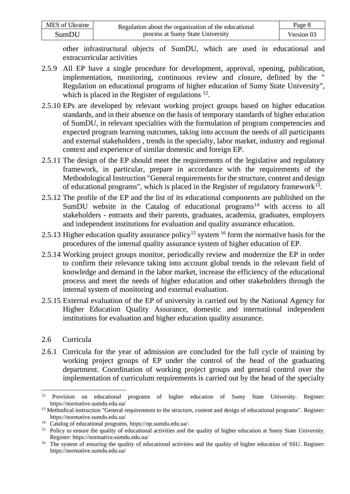| MES of Ukraine | Regulation about the organization of the educational | Page 8     |
|----------------|------------------------------------------------------|------------|
| SumDU          | process at Sumy State University                     | Version 03 |

other infrastructural objects of SumDU, which are used in educational and extracurricular activities

- 2.5.9 All EP have a single procedure for development, approval, opening, publication, implementation, monitoring, continuous review and closure, defined by the " Regulation on educational programs of higher education of Sumy State University", which is placed in the Register of regulations <sup>12</sup>.
- 2.5.10 EPs are developed by relevant working project groups based on higher education standards, and in their absence on the basis of temporary standards of higher education of SumDU, in relevant specialties with the formulation of program competencies and expected program learning outcomes, taking into account the needs of all participants and external stakeholders , trends in the specialty, labor market, industry and regional context and experience of similar domestic and foreign EP.
- 2.5.11 The design of the EP should meet the requirements of the legislative and regulatory framework, in particular, prepare in accordance with the requirements of the Methodological Instruction "General requirements for the structure, content and design of educational programs", which is placed in the Register of regulatory framework<sup>13</sup>.
- 2.5.12 The profile of the EP and the list of its educational components are published on the SumDU website in the Catalog of educational programs<sup>14</sup> with access to all stakeholders - entrants and their parents, graduates, academia, graduates, employers and independent institutions for evaluation and quality assurance education.
- 2.5.13 Higher education quality assurance policy<sup>15</sup> system <sup>16</sup> form the normative basis for the procedures of the internal quality assurance system of higher education of EP.
- 2.5.14 Working project groups monitor, periodically review and modernize the EP in order to confirm their relevance taking into account global trends in the relevant field of knowledge and demand in the labor market, increase the efficiency of the educational process and meet the needs of higher education and other stakeholders through the internal system of monitoring and external evaluation.
- 2.5.15 External evaluation of the EP of university is carried out by the National Agency for Higher Education Quality Assurance, domestic and international independent institutions for evaluation and higher education quality assurance.
- 2.6 Curricula
- 2.6.1 Curricula for the year of admission are concluded for the full cycle of training by working project groups of EP under the control of the head of the graduating department. Coordination of working project groups and general control over the implementation of curriculum requirements is carried out by the head of the specialty

<sup>&</sup>lt;sup>12</sup> Provision on educational programs of higher education of Sumy State University. Register: https://normative.sumdu.edu.ua/

 $<sup>13</sup>$  Methodical instruction "General requirements to the structure, content and design of educational programs". Register:</sup> <https://normative.sumdu.edu.ua/>

<sup>14</sup> Catalog of educational programs. [https://op.sumdu.edu.ua/.](https://op.sumdu.edu.ua/)

<sup>&</sup>lt;sup>15</sup> Policy to ensure the quality of educational activities and the quality of higher education at Sumy State University. Register: https://normative.sumdu.edu.ua/

<sup>&</sup>lt;sup>16</sup> The system of ensuring the quality of educational activities and the quality of higher education of SSU. Register: https://normative.sumdu.edu.ua/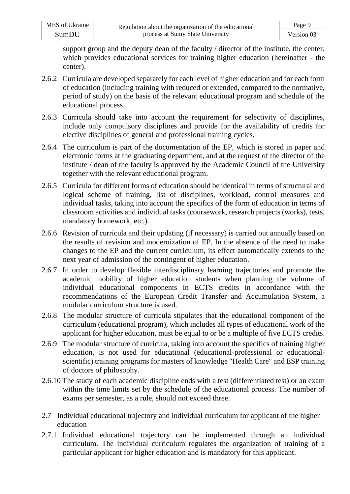| MES of Ukraine | Regulation about the organization of the educational | Page 9     |
|----------------|------------------------------------------------------|------------|
| SumDU          | process at Sumy State University                     | Version 03 |

support group and the deputy dean of the faculty / director of the institute, the center, which provides educational services for training higher education (hereinafter - the center).

- 2.6.2 Curricula are developed separately for each level of higher education and for each form of education (including training with reduced or extended, compared to the normative, period of study) on the basis of the relevant educational program and schedule of the educational process.
- 2.6.3 Curricula should take into account the requirement for selectivity of disciplines, include only compulsory disciplines and provide for the availability of credits for elective disciplines of general and professional training cycles.
- 2.6.4 The curriculum is part of the documentation of the EP, which is stored in paper and electronic forms at the graduating department, and at the request of the director of the institute / dean of the faculty is approved by the Academic Council of the University together with the relevant educational program.
- 2.6.5 Curricula for different forms of education should be identical in terms of structural and logical scheme of training, list of disciplines, workload, control measures and individual tasks, taking into account the specifics of the form of education in terms of classroom activities and individual tasks (coursework, research projects (works), tests, mandatory homework, etc.).
- 2.6.6 Revision of curricula and their updating (if necessary) is carried out annually based on the results of revision and modernization of EP. In the absence of the need to make changes to the EP and the current curriculum, its effect automatically extends to the next year of admission of the contingent of higher education.
- 2.6.7 In order to develop flexible interdisciplinary learning trajectories and promote the academic mobility of higher education students when planning the volume of individual educational components in ECTS credits in accordance with the recommendations of the European Credit Transfer and Accumulation System, a modular curriculum structure is used.
- 2.6.8 The modular structure of curricula stipulates that the educational component of the curriculum (educational program), which includes all types of educational work of the applicant for higher education, must be equal to or be a multiple of five ECTS credits.
- 2.6.9 The modular structure of curricula, taking into account the specifics of training higher education, is not used for educational (educational-professional or educationalscientific) training programs for masters of knowledge "Health Care" and ESP training of doctors of philosophy.
- 2.6.10 The study of each academic discipline ends with a test (differentiated test) or an exam within the time limits set by the schedule of the educational process. The number of exams per semester, as a rule, should not exceed three.
- 2.7 Individual educational trajectory and individual curriculum for applicant of the higher education
- 2.7.1 Individual educational trajectory can be implemented through an individual curriculum. The individual curriculum regulates the organization of training of a particular applicant for higher education and is mandatory for this applicant.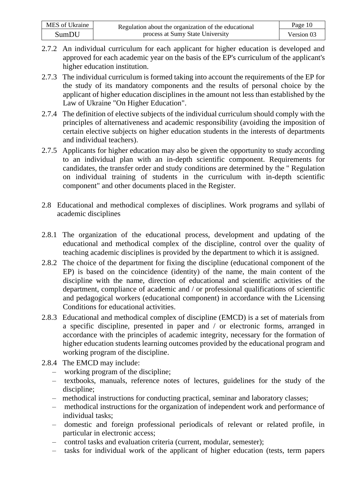| MES of Ukraine | Regulation about the organization of the educational | Page 10    |
|----------------|------------------------------------------------------|------------|
| SumDU          | process at Sumy State University                     | Version 03 |

- 2.7.2 An individual curriculum for each applicant for higher education is developed and approved for each academic year on the basis of the EP's curriculum of the applicant's higher education institution.
- 2.7.3 The individual curriculum is formed taking into account the requirements of the EP for the study of its mandatory components and the results of personal choice by the applicant of higher education disciplines in the amount not less than established by the Law of Ukraine "On Higher Education".
- 2.7.4 The definition of elective subjects of the individual curriculum should comply with the principles of alternativeness and academic responsibility (avoiding the imposition of certain elective subjects on higher education students in the interests of departments and individual teachers).
- 2.7.5 Applicants for higher education may also be given the opportunity to study according to an individual plan with an in-depth scientific component. Requirements for candidates, the transfer order and study conditions are determined by the " Regulation on individual training of students in the curriculum with in-depth scientific component" and other documents placed in the Register.
- 2.8 Educational and methodical complexes of disciplines. Work programs and syllabi of academic disciplines
- 2.8.1 The organization of the educational process, development and updating of the educational and methodical complex of the discipline, control over the quality of teaching academic disciplines is provided by the department to which it is assigned.
- 2.8.2 The choice of the department for fixing the discipline (educational component of the EP) is based on the coincidence (identity) of the name, the main content of the discipline with the name, direction of educational and scientific activities of the department, compliance of academic and / or professional qualifications of scientific and pedagogical workers (educational component) in accordance with the Licensing Conditions for educational activities.
- 2.8.3 Educational and methodical complex of discipline (EMCD) is a set of materials from a specific discipline, presented in paper and / or electronic forms, arranged in accordance with the principles of academic integrity, necessary for the formation of higher education students learning outcomes provided by the educational program and working program of the discipline.
- 2.8.4 The EMCD may include:
	- working program of the discipline;
	- textbooks, manuals, reference notes of lectures, guidelines for the study of the discipline;
	- methodical instructions for conducting practical, seminar and laboratory classes;
	- methodical instructions for the organization of independent work and performance of individual tasks;
	- domestic and foreign professional periodicals of relevant or related profile, in particular in electronic access;
	- control tasks and evaluation criteria (current, modular, semester);
	- tasks for individual work of the applicant of higher education (tests, term papers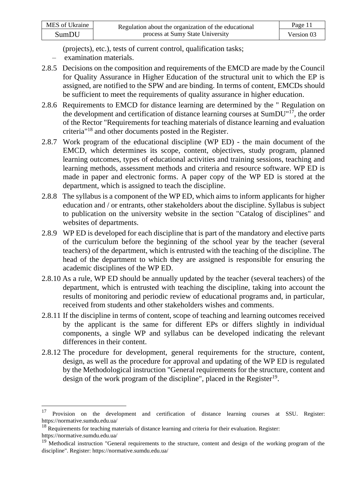(projects), etc.), tests of current control, qualification tasks;

- examination materials.
- 2.8.5 Decisions on the composition and requirements of the EMCD are made by the Council for Quality Assurance in Higher Education of the structural unit to which the EP is assigned, are notified to the SPW and are binding. In terms of content, EMCDs should be sufficient to meet the requirements of quality assurance in higher education.
- 2.8.6 Requirements to EMCD for distance learning are determined by the " Regulation on the development and certification of distance learning courses at SumDU"<sup>17</sup>, the order of the Rector "Requirements for teaching materials of distance learning and evaluation criteria"<sup>18</sup> and other documents posted in the Register.
- 2.8.7 Work program of the educational discipline (WP ED) the main document of the EMCD, which determines its scope, content, objectives, study program, planned learning outcomes, types of educational activities and training sessions, teaching and learning methods, assessment methods and criteria and resource software. WP ED is made in paper and electronic forms. A paper copy of the WP ED is stored at the department, which is assigned to teach the discipline.
- 2.8.8 The syllabus is a component of the WP ED, which aims to inform applicants for higher education and / or entrants, other stakeholders about the discipline. Syllabus is subject to publication on the university website in the section "Catalog of disciplines" and websites of departments.
- 2.8.9 WP ED is developed for each discipline that is part of the mandatory and elective parts of the curriculum before the beginning of the school year by the teacher (several teachers) of the department, which is entrusted with the teaching of the discipline. The head of the department to which they are assigned is responsible for ensuring the academic disciplines of the WP ED.
- 2.8.10 As a rule, WP ED should be annually updated by the teacher (several teachers) of the department, which is entrusted with teaching the discipline, taking into account the results of monitoring and periodic review of educational programs and, in particular, received from students and other stakeholders wishes and comments.
- 2.8.11 If the discipline in terms of content, scope of teaching and learning outcomes received by the applicant is the same for different EPs or differs slightly in individual components, a single WP and syllabus can be developed indicating the relevant differences in their content.
- 2.8.12 The procedure for development, general requirements for the structure, content, design, as well as the procedure for approval and updating of the WP ED is regulated by the Methodological instruction "General requirements for the structure, content and design of the work program of the discipline", placed in the Register<sup>19</sup>.

<sup>&</sup>lt;sup>17</sup> Provision on the development and certification of distance learning courses at SSU. Register: <https://normative.sumdu.edu.ua/>

<sup>&</sup>lt;sup>18</sup> Requirements for teaching materials of distance learning and criteria for their evaluation. Register: <https://normative.sumdu.edu.ua/>

<sup>&</sup>lt;sup>19</sup> Methodical instruction "General requirements to the structure, content and design of the working program of the discipline". Register:<https://normative.sumdu.edu.ua/>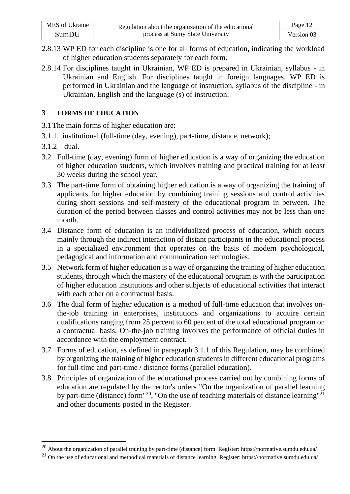| MES of Ukraine | Regulation about the organization of the educational | Page 12    |
|----------------|------------------------------------------------------|------------|
| <b>SumDU</b>   | process at Sumy State University                     | Version 03 |

- 2.8.13 WP ED for each discipline is one for all forms of education, indicating the workload of higher education students separately for each form.
- 2.8.14 For disciplines taught in Ukrainian, WP ED is prepared in Ukrainian, syllabus in Ukrainian and English. For disciplines taught in foreign languages, WP ED is performed in Ukrainian and the language of instruction, syllabus of the discipline - in Ukrainian, English and the language (s) of instruction.

### **3 FORMS OF EDUCATION**

3.1The main forms of higher education are:

- 3.1.1 institutional (full-time (day, evening), part-time, distance, network);
- 3.1.2 dual.
- 3.2 Full-time (day, evening) form of higher education is a way of organizing the education of higher education students, which involves training and practical training for at least 30 weeks during the school year.
- 3.3 The part-time form of obtaining higher education is a way of organizing the training of applicants for higher education by combining training sessions and control activities during short sessions and self-mastery of the educational program in between. The duration of the period between classes and control activities may not be less than one month.
- 3.4 Distance form of education is an individualized process of education, which occurs mainly through the indirect interaction of distant participants in the educational process in a specialized environment that operates on the basis of modern psychological, pedagogical and information and communication technologies.
- 3.5 Network form of higher education is a way of organizing the training of higher education students, through which the mastery of the educational program is with the participation of higher education institutions and other subjects of educational activities that interact with each other on a contractual basis.
- 3.6 The dual form of higher education is a method of full-time education that involves onthe-job training in enterprises, institutions and organizations to acquire certain qualifications ranging from 25 percent to 60 percent of the total educational program on a contractual basis. On-the-job training involves the performance of official duties in accordance with the employment contract.
- 3.7 Forms of education, as defined in paragraph 3.1.1 of this Regulation, may be combined by organizing the training of higher education students in different educational programs for full-time and part-time / distance forms (parallel education).
- 3.8 Principles of organization of the educational process carried out by combining forms of education are regulated by the rector's orders "On the organization of parallel learning by part-time (distance) form<sup>"20</sup>, "On the use of teaching materials of distance learning"<sup>21</sup> and other documents posted in the Register.

<sup>&</sup>lt;sup>20</sup> About the organization of parallel training by part-time (distance) form. Register[: https://normative.sumdu.edu.ua/](https://normative.sumdu.edu.ua/)

<sup>&</sup>lt;sup>21</sup> On the use of educational and methodical materials of distance learning. Register[: https://normative.sumdu.edu.ua/](https://normative.sumdu.edu.ua/)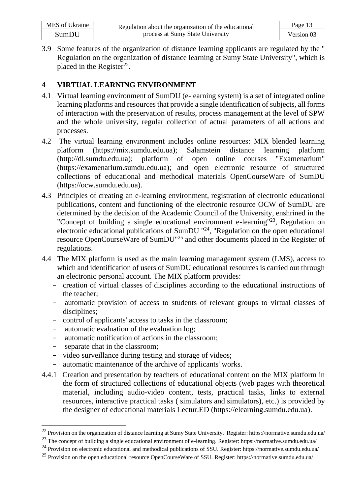| MES of Ukraine | Regulation about the organization of the educational | Page 13    |
|----------------|------------------------------------------------------|------------|
| SumDU          | process at Sumy State University                     | Version 03 |

3.9 Some features of the organization of distance learning applicants are regulated by the " Regulation on the organization of distance learning at Sumy State University", which is placed in the Register<sup>22</sup>.

# **4 VIRTUAL LEARNING ENVIRONMENT**

- 4.1 Virtual learning environment of SumDU (e-learning system) is a set of integrated online learning platforms and resources that provide a single identification of subjects, all forms of interaction with the preservation of results, process management at the level of SPW and the whole university, regular collection of actual parameters of all actions and processes.
- 4.2 The virtual learning environment includes online resources: MIX blended learning platform (https://mix.sumdu.edu.ua); Salamstein distance learning platform (http://dl.sumdu.edu.ua); platform of open online courses "Examenarium" (https://examenarium.sumdu.edu.ua); and open electronic resource of structured collections of educational and methodical materials OpenCourseWare of SumDU (https://ocw.sumdu.edu.ua).
- 4.3 Principles of creating an e-learning environment, registration of electronic educational publications, content and functioning of the electronic resource OCW of SumDU are determined by the decision of the Academic Council of the University, enshrined in the "Concept of building a single educational environment e-learning"<sup>23</sup>, Regulation on electronic educational publications of SumDU  $124$ , "Regulation on the open educational resource OpenCourseWare of SumDU"<sup>25</sup> and other documents placed in the Register of regulations.
- 4.4 The MIX platform is used as the main learning management system (LMS), access to which and identification of users of SumDU educational resources is carried out through an electronic personal account. The MIX platform provides:
	- creation of virtual classes of disciplines according to the educational instructions of the teacher;
	- automatic provision of access to students of relevant groups to virtual classes of disciplines;
	- control of applicants' access to tasks in the classroom;
	- automatic evaluation of the evaluation log;
	- automatic notification of actions in the classroom;
	- separate chat in the classroom;
	- video surveillance during testing and storage of videos;
	- automatic maintenance of the archive of applicants' works.
- 4.4.1 Creation and presentation by teachers of educational content on the MIX platform in the form of structured collections of educational objects (web pages with theoretical material, including audio-video content, tests, practical tasks, links to external resources, interactive practical tasks ( simulators and simulators), etc.) is provided by the designer of educational materials Lectur.ED (https://elearning.sumdu.edu.ua).

<sup>22</sup> Provision on the organization of distance learning at Sumy State University. Register[: https://normative.sumdu.edu.ua/](https://normative.sumdu.edu.ua/)

<sup>23</sup> The concept of building a single educational environment of e-learning. Register[: https://normative.sumdu.edu.ua/](https://normative.sumdu.edu.ua/)

<sup>24</sup> Provision on electronic educational and methodical publications of SSU. Register:<https://normative.sumdu.edu.ua/>

<sup>25</sup> Provision on the open educational resource OpenCourseWare of SSU. Register[: https://normative.sumdu.edu.ua/](https://normative.sumdu.edu.ua/)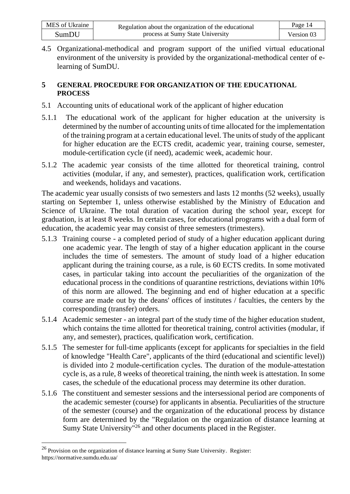| MES of Ukraine | Regulation about the organization of the educational | Page 14    |
|----------------|------------------------------------------------------|------------|
| SumDU          | process at Sumy State University                     | Version 03 |

4.5 Organizational-methodical and program support of the unified virtual educational environment of the university is provided by the organizational-methodical center of elearning of SumDU.

### **5 GENERAL PROCEDURE FOR ORGANIZATION OF THE EDUCATIONAL PROCESS**

- 5.1 Accounting units of educational work of the applicant of higher education
- 5.1.1 The educational work of the applicant for higher education at the university is determined by the number of accounting units of time allocated for the implementation of the training program at a certain educational level. The units of study of the applicant for higher education are the ECTS credit, academic year, training course, semester, module-certification cycle (if need), academic week, academic hour.
- 5.1.2 The academic year consists of the time allotted for theoretical training, control activities (modular, if any, and semester), practices, qualification work, certification and weekends, holidays and vacations.

The academic year usually consists of two semesters and lasts 12 months (52 weeks), usually starting on September 1, unless otherwise established by the Ministry of Education and Science of Ukraine. The total duration of vacation during the school year, except for graduation, is at least 8 weeks. In certain cases, for educational programs with a dual form of education, the academic year may consist of three semesters (trimesters).

- 5.1.3 Training course a completed period of study of a higher education applicant during one academic year. The length of stay of a higher education applicant in the course includes the time of semesters. The amount of study load of a higher education applicant during the training course, as a rule, is 60 ECTS credits. In some motivated cases, in particular taking into account the peculiarities of the organization of the educational process in the conditions of quarantine restrictions, deviations within 10% of this norm are allowed. The beginning and end of higher education at a specific course are made out by the deans' offices of institutes / faculties, the centers by the corresponding (transfer) orders.
- 5.1.4 Academic semester an integral part of the study time of the higher education student, which contains the time allotted for theoretical training, control activities (modular, if any, and semester), practices, qualification work, certification.
- 5.1.5 The semester for full-time applicants (except for applicants for specialties in the field of knowledge "Health Care", applicants of the third (educational and scientific level)) is divided into 2 module-certification cycles. The duration of the module-attestation cycle is, as a rule, 8 weeks of theoretical training, the ninth week is attestation. In some cases, the schedule of the educational process may determine its other duration.
- 5.1.6 The constituent and semester sessions and the intersessional period are components of the academic semester (course) for applicants in absentia. Peculiarities of the structure of the semester (course) and the organization of the educational process by distance form are determined by the "Regulation on the organization of distance learning at Sumy State University"<sup>26</sup> and other documents placed in the Register.

<sup>&</sup>lt;sup>26</sup> Provision on the organization of distance learning at Sumy State University. Register: <https://normative.sumdu.edu.ua/>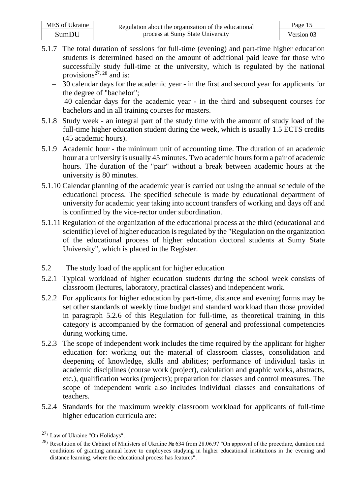| MES of Ukraine | Regulation about the organization of the educational | Page 15    |
|----------------|------------------------------------------------------|------------|
| SumDU          | process at Sumy State University                     | Version 03 |

- 5.1.7 The total duration of sessions for full-time (evening) and part-time higher education students is determined based on the amount of additional paid leave for those who successfully study full-time at the university, which is regulated by the national provisions<sup>27, 28</sup> and is:
	- 30 calendar days for the academic year in the first and second year for applicants for the degree of "bachelor";
	- 40 calendar days for the academic year in the third and subsequent courses for bachelors and in all training courses for masters.
- 5.1.8 Study week an integral part of the study time with the amount of study load of the full-time higher education student during the week, which is usually 1.5 ECTS credits (45 academic hours).
- 5.1.9 Academic hour the minimum unit of accounting time. The duration of an academic hour at a university is usually 45 minutes. Two academic hours form a pair of academic hours. The duration of the "pair" without a break between academic hours at the university is 80 minutes.
- 5.1.10 Calendar planning of the academic year is carried out using the annual schedule of the educational process. The specified schedule is made by educational department of university for academic year taking into account transfers of working and days off and is confirmed by the vice-rector under subordination.
- 5.1.11 Regulation of the organization of the educational process at the third (educational and scientific) level of higher education is regulated by the "Regulation on the organization of the educational process of higher education doctoral students at Sumy State University", which is placed in the Register.
- 5.2 The study load of the applicant for higher education
- 5.2.1 Typical workload of higher education students during the school week consists of classroom (lectures, laboratory, practical classes) and independent work.
- 5.2.2 For applicants for higher education by part-time, distance and evening forms may be set other standards of weekly time budget and standard workload than those provided in paragraph 5.2.6 of this Regulation for full-time, as theoretical training in this category is accompanied by the formation of general and professional competencies during working time.
- 5.2.3 The scope of independent work includes the time required by the applicant for higher education for: working out the material of classroom classes, consolidation and deepening of knowledge, skills and abilities; performance of individual tasks in academic disciplines (course work (project), calculation and graphic works, abstracts, etc.), qualification works (projects); preparation for classes and control measures. The scope of independent work also includes individual classes and consultations of teachers.
- 5.2.4 Standards for the maximum weekly classroom workload for applicants of full-time higher education curricula are:

<sup>27</sup>) Law of Ukraine "On Holidays".

<sup>28</sup>) Resolution of the Cabinet of Ministers of Ukraine № 634 from 28.06.97 "On approval of the procedure, duration and conditions of granting annual leave to employees studying in higher educational institutions in the evening and distance learning, where the educational process has features".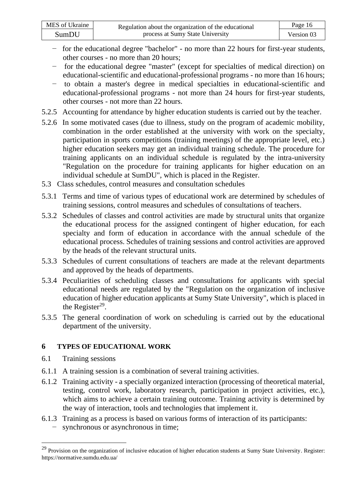| MES of Ukraine | Regulation about the organization of the educational | Page 16    |
|----------------|------------------------------------------------------|------------|
| SumDU          | process at Sumy State University                     | Version 03 |

- − for the educational degree "bachelor" no more than 22 hours for first-year students, other courses - no more than 20 hours;
- − for the educational degree "master" (except for specialties of medical direction) on educational-scientific and educational-professional programs - no more than 16 hours;
- − to obtain a master's degree in medical specialties in educational-scientific and educational-professional programs - not more than 24 hours for first-year students, other courses - not more than 22 hours.
- 5.2.5 Accounting for attendance by higher education students is carried out by the teacher.
- 5.2.6 In some motivated cases (due to illness, study on the program of academic mobility, combination in the order established at the university with work on the specialty, participation in sports competitions (training meetings) of the appropriate level, etc.) higher education seekers may get an individual training schedule. The procedure for training applicants on an individual schedule is regulated by the intra-university "Regulation on the procedure for training applicants for higher education on an individual schedule at SumDU", which is placed in the Register.
- 5.3 Class schedules, control measures and consultation schedules
- 5.3.1 Terms and time of various types of educational work are determined by schedules of training sessions, control measures and schedules of consultations of teachers.
- 5.3.2 Schedules of classes and control activities are made by structural units that organize the educational process for the assigned contingent of higher education, for each specialty and form of education in accordance with the annual schedule of the educational process. Schedules of training sessions and control activities are approved by the heads of the relevant structural units.
- 5.3.3 Schedules of current consultations of teachers are made at the relevant departments and approved by the heads of departments.
- 5.3.4 Peculiarities of scheduling classes and consultations for applicants with special educational needs are regulated by the "Regulation on the organization of inclusive education of higher education applicants at Sumy State University", which is placed in the Register<sup>29</sup>.
- 5.3.5 The general coordination of work on scheduling is carried out by the educational department of the university.

### **6 TYPES OF EDUCATIONAL WORK**

- 6.1 Training sessions
- 6.1.1 A training session is a combination of several training activities.
- 6.1.2 Training activity a specially organized interaction (processing of theoretical material, testing, control work, laboratory research, participation in project activities, etc.), which aims to achieve a certain training outcome. Training activity is determined by the way of interaction, tools and technologies that implement it.
- 6.1.3 Training as a process is based on various forms of interaction of its participants: − synchronous or asynchronous in time;

<sup>&</sup>lt;sup>29</sup> Provision on the organization of inclusive education of higher education students at Sumy State University. Register: <https://normative.sumdu.edu.ua/>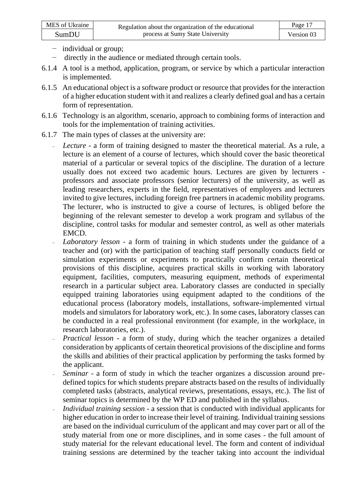- − individual or group;
- − directly in the audience or mediated through certain tools.
- 6.1.4 A tool is a method, application, program, or service by which a particular interaction is implemented.
- 6.1.5 An educational object is a software product or resource that provides for the interaction of a higher education student with it and realizes a clearly defined goal and has a certain form of representation.
- 6.1.6 Technology is an algorithm, scenario, approach to combining forms of interaction and tools for the implementation of training activities.
- 6.1.7 The main types of classes at the university are:
	- Lecture a form of training designed to master the theoretical material. As a rule, a lecture is an element of a course of lectures, which should cover the basic theoretical material of a particular or several topics of the discipline. The duration of a lecture usually does not exceed two academic hours. Lectures are given by lecturers professors and associate professors (senior lecturers) of the university, as well as leading researchers, experts in the field, representatives of employers and lecturers invited to give lectures, including foreign free partners in academic mobility programs. The lecturer, who is instructed to give a course of lectures, is obliged before the beginning of the relevant semester to develop a work program and syllabus of the discipline, control tasks for modular and semester control, as well as other materials EMCD.
	- ₋ *Laboratory lesson -* a form of training in which students under the guidance of a teacher and (or) with the participation of teaching staff personally conducts field or simulation experiments or experiments to practically confirm certain theoretical provisions of this discipline, acquires practical skills in working with laboratory equipment, facilities, computers, measuring equipment, methods of experimental research in a particular subject area. Laboratory classes are conducted in specially equipped training laboratories using equipment adapted to the conditions of the educational process (laboratory models, installations, software-implemented virtual models and simulators for laboratory work, etc.). In some cases, laboratory classes can be conducted in a real professional environment (for example, in the workplace, in research laboratories, etc.).
	- ₋ *Practical lesson*  a form of study, during which the teacher organizes a detailed consideration by applicants of certain theoretical provisions of the discipline and forms the skills and abilities of their practical application by performing the tasks formed by the applicant.
	- Seminar a form of study in which the teacher organizes a discussion around predefined topics for which students prepare abstracts based on the results of individually completed tasks (abstracts, analytical reviews, presentations, essays, etc.). The list of seminar topics is determined by the WP ED and published in the syllabus.
	- ₋ *Individual training session*  a session that is conducted with individual applicants for higher education in order to increase their level of training. Individual training sessions are based on the individual curriculum of the applicant and may cover part or all of the study material from one or more disciplines, and in some cases - the full amount of study material for the relevant educational level. The form and content of individual training sessions are determined by the teacher taking into account the individual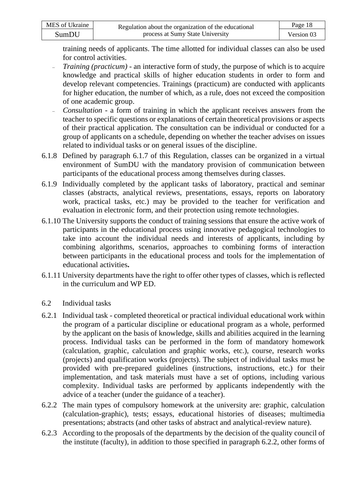| MES of Ukraine | Regulation about the organization of the educational | Page 18    |
|----------------|------------------------------------------------------|------------|
| SumDU          | process at Sumy State University                     | Version 03 |

training needs of applicants. The time allotted for individual classes can also be used for control activities.

- *Training (practicum)* an interactive form of study, the purpose of which is to acquire knowledge and practical skills of higher education students in order to form and develop relevant competencies. Trainings (practicum) are conducted with applicants for higher education, the number of which, as a rule, does not exceed the composition of one academic group.
- *Consultation* a form of training in which the applicant receives answers from the teacher to specific questions or explanations of certain theoretical provisions or aspects of their practical application. The consultation can be individual or conducted for a group of applicants on a schedule, depending on whether the teacher advises on issues related to individual tasks or on general issues of the discipline.
- 6.1.8 Defined by paragraph 6.1.7 of this Regulation, classes can be organized in a virtual environment of SumDU with the mandatory provision of communication between participants of the educational process among themselves during classes.
- 6.1.9 Individually completed by the applicant tasks of laboratory, practical and seminar classes (abstracts, analytical reviews, presentations, essays, reports on laboratory work, practical tasks, etc.) may be provided to the teacher for verification and evaluation in electronic form, and their protection using remote technologies.
- 6.1.10 The University supports the conduct of training sessions that ensure the active work of participants in the educational process using innovative pedagogical technologies to take into account the individual needs and interests of applicants, including by combining algorithms, scenarios, approaches to combining forms of interaction between participants in the educational process and tools for the implementation of educational activities**.**
- 6.1.11 University departments have the right to offer other types of classes, which is reflected in the curriculum and WP ED.
- 6.2 Individual tasks
- 6.2.1 Individual task completed theoretical or practical individual educational work within the program of a particular discipline or educational program as a whole, performed by the applicant on the basis of knowledge, skills and abilities acquired in the learning process. Individual tasks can be performed in the form of mandatory homework (calculation, graphic, calculation and graphic works, etc.), course, research works (projects) and qualification works (projects). The subject of individual tasks must be provided with pre-prepared guidelines (instructions, instructions, etc.) for their implementation, and task materials must have a set of options, including various complexity. Individual tasks are performed by applicants independently with the advice of a teacher (under the guidance of a teacher).
- 6.2.2 The main types of compulsory homework at the university are: graphic, calculation (calculation-graphic), tests; essays, educational histories of diseases; multimedia presentations; abstracts (and other tasks of abstract and analytical-review nature).
- 6.2.3 According to the proposals of the departments by the decision of the quality council of the institute (faculty), in addition to those specified in paragraph 6.2.2, other forms of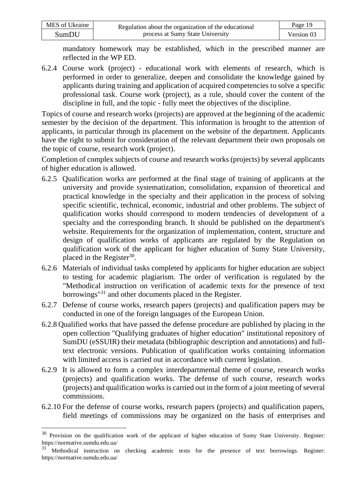| MES of Ukraine | Regulation about the organization of the educational | Page 19    |
|----------------|------------------------------------------------------|------------|
| SumDU          | process at Sumy State University                     | Version 03 |

mandatory homework may be established, which in the prescribed manner are reflected in the WP ED.

6.2.4 Course work (project) - educational work with elements of research, which is performed in order to generalize, deepen and consolidate the knowledge gained by applicants during training and application of acquired competencies to solve a specific professional task. Course work (project), as a rule, should cover the content of the discipline in full, and the topic - fully meet the objectives of the discipline.

Topics of course and research works (projects) are approved at the beginning of the academic semester by the decision of the department. This information is brought to the attention of applicants, in particular through its placement on the website of the department. Applicants have the right to submit for consideration of the relevant department their own proposals on the topic of course, research work (project).

Completion of complex subjects of course and research works (projects) by several applicants of higher education is allowed.

- 6.2.5 Qualification works are performed at the final stage of training of applicants at the university and provide systematization, consolidation, expansion of theoretical and practical knowledge in the specialty and their application in the process of solving specific scientific, technical, economic, industrial and other problems. The subject of qualification works should correspond to modern tendencies of development of a specialty and the corresponding branch. It should be published on the department's website. Requirements for the organization of implementation, content, structure and design of qualification works of applicants are regulated by the Regulation on qualification work of the applicant for higher education of Sumy State University, placed in the Register $30$ .
- 6.2.6 Materials of individual tasks completed by applicants for higher education are subject to testing for academic plagiarism. The order of verification is regulated by the "Methodical instruction on verification of academic texts for the presence of text borrowings"<sup>31</sup> and other documents placed in the Register.
- 6.2.7 Defense of course works, research papers (projects) and qualification papers may be conducted in one of the foreign languages of the European Union.
- 6.2.8 Qualified works that have passed the defense procedure are published by placing in the open collection "Qualifying graduates of higher education" institutional repository of SumDU (eSSUIR) their metadata (bibliographic description and annotations) and fulltext electronic versions. Publication of qualification works containing information with limited access is carried out in accordance with current legislation.
- 6.2.9 It is allowed to form a complex interdepartmental theme of course, research works (projects) and qualification works. The defense of such course, research works (projects) and qualification works is carried out in the form of a joint meeting of several commissions.
- 6.2.10 For the defense of course works, research papers (projects) and qualification papers, field meetings of commissions may be organized on the basis of enterprises and

<sup>&</sup>lt;sup>30</sup> Provision on the qualification work of the applicant of higher education of Sumy State University. Register: <https://normative.sumdu.edu.ua/>

<sup>&</sup>lt;sup>31</sup> Methodical instruction on checking academic texts for the presence of text borrowings. Register: <https://normative.sumdu.edu.ua/>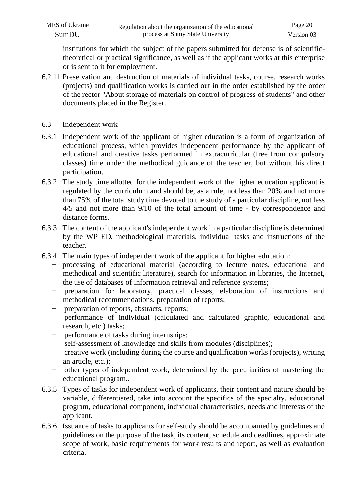| MES of Ukraine | Regulation about the organization of the educational | Page 20    |
|----------------|------------------------------------------------------|------------|
| SumDU          | process at Sumy State University                     | Version 03 |

institutions for which the subject of the papers submitted for defense is of scientifictheoretical or practical significance, as well as if the applicant works at this enterprise or is sent to it for employment.

- 6.2.11 Preservation and destruction of materials of individual tasks, course, research works (projects) and qualification works is carried out in the order established by the order of the rector "About storage of materials on control of progress of students" and other documents placed in the Register.
- 6.3 Independent work
- 6.3.1 Independent work of the applicant of higher education is a form of organization of educational process, which provides independent performance by the applicant of educational and creative tasks performed in extracurricular (free from compulsory classes) time under the methodical guidance of the teacher, but without his direct participation.
- 6.3.2 The study time allotted for the independent work of the higher education applicant is regulated by the curriculum and should be, as a rule, not less than 20% and not more than 75% of the total study time devoted to the study of a particular discipline, not less 4/5 and not more than 9/10 of the total amount of time - by correspondence and distance forms.
- 6.3.3 The content of the applicant's independent work in a particular discipline is determined by the WP ED, methodological materials, individual tasks and instructions of the teacher.
- 6.3.4 The main types of independent work of the applicant for higher education:
	- − processing of educational material (according to lecture notes, educational and methodical and scientific literature), search for information in libraries, the Internet, the use of databases of information retrieval and reference systems;
		- − preparation for laboratory, practical classes, elaboration of instructions and methodical recommendations, preparation of reports;
	- − preparation of reports, abstracts, reports;
	- − performance of individual (calculated and calculated graphic, educational and research, etc.) tasks;
	- − performance of tasks during internships;
	- − self-assessment of knowledge and skills from modules (disciplines);
	- − creative work (including during the course and qualification works (projects), writing an article, etc.);
	- − other types of independent work, determined by the peculiarities of mastering the educational program..
- 6.3.5 Types of tasks for independent work of applicants, their content and nature should be variable, differentiated, take into account the specifics of the specialty, educational program, educational component, individual characteristics, needs and interests of the applicant.
- 6.3.6 Issuance of tasks to applicants for self-study should be accompanied by guidelines and guidelines on the purpose of the task, its content, schedule and deadlines, approximate scope of work, basic requirements for work results and report, as well as evaluation criteria.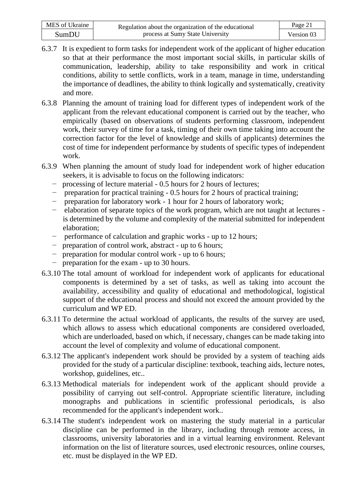| MES of Ukraine | Regulation about the organization of the educational | Page 21    |
|----------------|------------------------------------------------------|------------|
| SumDU          | process at Sumy State University                     | Version 03 |

- 6.3.7 It is expedient to form tasks for independent work of the applicant of higher education so that at their performance the most important social skills, in particular skills of communication, leadership, ability to take responsibility and work in critical conditions, ability to settle conflicts, work in a team, manage in time, understanding the importance of deadlines, the ability to think logically and systematically, creativity and more.
- 6.3.8 Planning the amount of training load for different types of independent work of the applicant from the relevant educational component is carried out by the teacher, who empirically (based on observations of students performing classroom, independent work, their survey of time for a task, timing of their own time taking into account the correction factor for the level of knowledge and skills of applicants) determines the cost of time for independent performance by students of specific types of independent work.
- 6.3.9 When planning the amount of study load for independent work of higher education seekers, it is advisable to focus on the following indicators:
	- − processing of lecture material 0.5 hours for 2 hours of lectures;
	- − preparation for practical training 0.5 hours for 2 hours of practical training;
	- − preparation for laboratory work 1 hour for 2 hours of laboratory work;
	- − elaboration of separate topics of the work program, which are not taught at lectures is determined by the volume and complexity of the material submitted for independent elaboration;
	- − performance of calculation and graphic works up to 12 hours;
	- − preparation of control work, abstract up to 6 hours;
	- − preparation for modular control work up to 6 hours;
	- − preparation for the exam up to 30 hours.
- 6.3.10 The total amount of workload for independent work of applicants for educational components is determined by a set of tasks, as well as taking into account the availability, accessibility and quality of educational and methodological, logistical support of the educational process and should not exceed the amount provided by the curriculum and WP ED.
- 6.3.11 To determine the actual workload of applicants, the results of the survey are used, which allows to assess which educational components are considered overloaded, which are underloaded, based on which, if necessary, changes can be made taking into account the level of complexity and volume of educational component.
- 6.3.12 The applicant's independent work should be provided by a system of teaching aids provided for the study of a particular discipline: textbook, teaching aids, lecture notes, workshop, guidelines, etc..
- 6.3.13 Methodical materials for independent work of the applicant should provide a possibility of carrying out self-control. Appropriate scientific literature, including monographs and publications in scientific professional periodicals, is also recommended for the applicant's independent work..
- 6.3.14 The student's independent work on mastering the study material in a particular discipline can be performed in the library, including through remote access, in classrooms, university laboratories and in a virtual learning environment. Relevant information on the list of literature sources, used electronic resources, online courses, etc. must be displayed in the WP ED.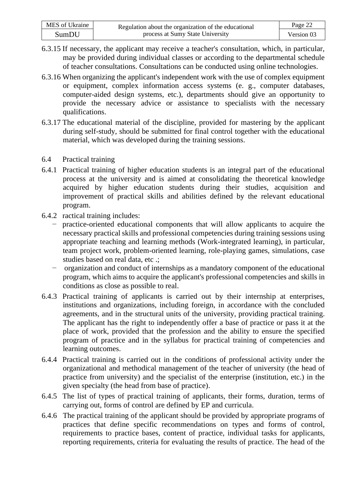| MES of Ukraine | Regulation about the organization of the educational | Page 22    |
|----------------|------------------------------------------------------|------------|
| SumDU          | process at Sumy State University                     | Version 03 |

- 6.3.15 If necessary, the applicant may receive a teacher's consultation, which, in particular, may be provided during individual classes or according to the departmental schedule of teacher consultations. Consultations can be conducted using online technologies.
- 6.3.16 When organizing the applicant's independent work with the use of complex equipment or equipment, complex information access systems (e. g., computer databases, computer-aided design systems, etc.), departments should give an opportunity to provide the necessary advice or assistance to specialists with the necessary qualifications.
- 6.3.17 The educational material of the discipline, provided for mastering by the applicant during self-study, should be submitted for final control together with the educational material, which was developed during the training sessions.
- 6.4 Practical training
- 6.4.1 Practical training of higher education students is an integral part of the educational process at the university and is aimed at consolidating the theoretical knowledge acquired by higher education students during their studies, acquisition and improvement of practical skills and abilities defined by the relevant educational program.
- 6.4.2 ractical training includes:
	- − practice-oriented educational components that will allow applicants to acquire the necessary practical skills and professional competencies during training sessions using appropriate teaching and learning methods (Work-integrated learning), in particular, team project work, problem-oriented learning, role-playing games, simulations, case studies based on real data, etc .;
	- − organization and conduct of internships as a mandatory component of the educational program, which aims to acquire the applicant's professional competencies and skills in conditions as close as possible to real.
- 6.4.3 Practical training of applicants is carried out by their internship at enterprises, institutions and organizations, including foreign, in accordance with the concluded agreements, and in the structural units of the university, providing practical training. The applicant has the right to independently offer a base of practice or pass it at the place of work, provided that the profession and the ability to ensure the specified program of practice and in the syllabus for practical training of competencies and learning outcomes.
- 6.4.4 Practical training is carried out in the conditions of professional activity under the organizational and methodical management of the teacher of university (the head of practice from university) and the specialist of the enterprise (institution, etc.) in the given specialty (the head from base of practice).
- 6.4.5 The list of types of practical training of applicants, their forms, duration, terms of carrying out, forms of control are defined by EP and curricula.
- 6.4.6 The practical training of the applicant should be provided by appropriate programs of practices that define specific recommendations on types and forms of control, requirements to practice bases, content of practice, individual tasks for applicants, reporting requirements, criteria for evaluating the results of practice. The head of the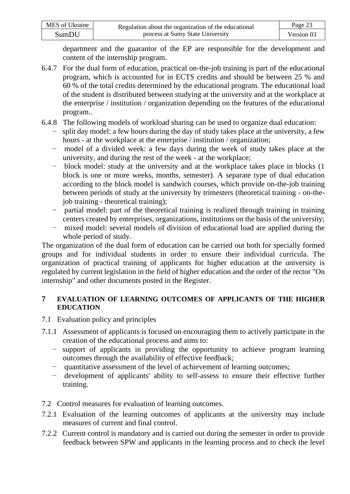| MES of Ukraine | Regulation about the organization of the educational | Page 23    |
|----------------|------------------------------------------------------|------------|
| SumDU          | process at Sumy State University                     | Version 03 |

department and the guarantor of the EP are responsible for the development and content of the internship program.

- 6.4.7 For the dual form of education, practical on-the-job training is part of the educational program, which is accounted for in ECTS credits and should be between 25 % and 60 % of the total credits determined by the educational program. The educational load of the student is distributed between studying at the university and at the workplace at the enterprise / institution / organization depending on the features of the educational program..
- 6.4.8 The following models of workload sharing can be used to organize dual education:
	- − split day model: a few hours during the day of study takes place at the university, a few hours - at the workplace at the enterprise / institution / organization;
	- − model of a divided week: a few days during the week of study takes place at the university, and during the rest of the week - at the workplace;
	- − block model: study at the university and at the workplace takes place in blocks (1 block is one or more weeks, months, semester). A separate type of dual education according to the block model is sandwich courses, which provide on-the-job training between periods of study at the university by trimesters (theoretical training - on-thejob training - theoretical training);
	- − partial model: part of the theoretical training is realized through training in training centers created by enterprises, organizations, institutions on the basis of the university;
	- − mixed model: several models of division of educational load are applied during the whole period of study.

The organization of the dual form of education can be carried out both for specially formed groups and for individual students in order to ensure their individual curricula. The organization of practical training of applicants for higher education at the university is regulated by current legislation in the field of higher education and the order of the rector "On internship" and other documents posted in the Register.

### **7 EVALUATION OF LEARNING OUTCOMES OF APPLICANTS OF THE HIGHER EDUCATION**

- 7.1 Evaluation policy and principles
- 7.1.1 Assessment of applicants is focused on encouraging them to actively participate in the creation of the educational process and aims to:
	- − support of applicants in providing the opportunity to achieve program learning outcomes through the availability of effective feedback;
	- − quantitative assessment of the level of achievement of learning outcomes;
	- − development of applicants' ability to self-assess to ensure their effective further training.
- 7.2 Control measures for evaluation of learning outcomes.
- 7.2.1 Evaluation of the learning outcomes of applicants at the university may include measures of current and final control.
- 7.2.2 Current control is mandatory and is carried out during the semester in order to provide feedback between SPW and applicants in the learning process and to check the level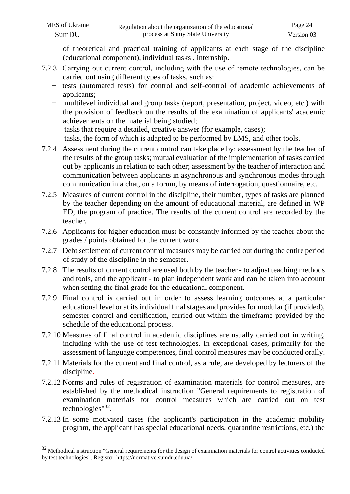of theoretical and practical training of applicants at each stage of the discipline (educational component), individual tasks , internship.

- 7.2.3 Carrying out current control, including with the use of remote technologies, can be carried out using different types of tasks, such as:
	- − tests (automated tests) for control and self-control of academic achievements of applicants;
	- − multilevel individual and group tasks (report, presentation, project, video, etc.) with the provision of feedback on the results of the examination of applicants' academic achievements on the material being studied;
	- − tasks that require a detailed, creative answer (for example, cases);
	- − tasks, the form of which is adapted to be performed by LMS, and other tools.
- 7.2.4 Assessment during the current control can take place by: assessment by the teacher of the results of the group tasks; mutual evaluation of the implementation of tasks carried out by applicants in relation to each other; assessment by the teacher of interaction and communication between applicants in asynchronous and synchronous modes through communication in a chat, on a forum, by means of interrogation, questionnaire, etc.
- 7.2.5 Measures of current control in the discipline, their number, types of tasks are planned by the teacher depending on the amount of educational material, are defined in WP ED, the program of practice. The results of the current control are recorded by the teacher.
- 7.2.6 Applicants for higher education must be constantly informed by the teacher about the grades / points obtained for the current work.
- 7.2.7 Debt settlement of current control measures may be carried out during the entire period of study of the discipline in the semester.
- 7.2.8 The results of current control are used both by the teacher to adjust teaching methods and tools, and the applicant - to plan independent work and can be taken into account when setting the final grade for the educational component.
- 7.2.9 Final control is carried out in order to assess learning outcomes at a particular educational level or at its individual final stages and provides for modular (if provided), semester control and certification, carried out within the timeframe provided by the schedule of the educational process.
- 7.2.10 Measures of final control in academic disciplines are usually carried out in writing, including with the use of test technologies. In exceptional cases, primarily for the assessment of language competences, final control measures may be conducted orally.
- 7.2.11 Materials for the current and final control, as a rule, are developed by lecturers of the discipline.
- 7.2.12 Norms and rules of registration of examination materials for control measures, are established by the methodical instruction "General requirements to registration of examination materials for control measures which are carried out on test technologies"<sup>32</sup> .
- 7.2.13 In some motivated cases (the applicant's participation in the academic mobility program, the applicant has special educational needs, quarantine restrictions, etc.) the

<sup>&</sup>lt;sup>32</sup> Methodical instruction "General requirements for the design of examination materials for control activities conducted by test technologies". Register: <https://normative.sumdu.edu.ua/>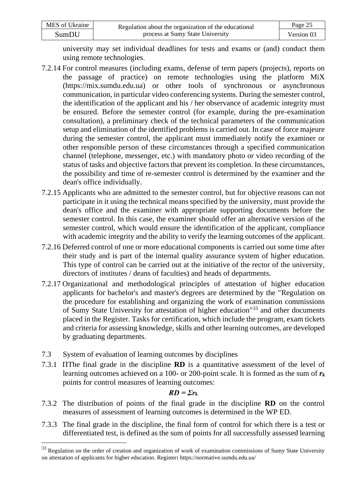| MES of Ukraine | Regulation about the organization of the educational | Page 25    |
|----------------|------------------------------------------------------|------------|
| SumDU          | process at Sumy State University                     | Version 03 |

university may set individual deadlines for tests and exams or (and) conduct them using remote technologies.

- 7.2.14 For control measures (including exams, defense of term papers (projects), reports on the passage of practice) on remote technologies using the platform MiX (https://mix.sumdu.edu.ua) or other tools of synchronous or asynchronous communication, in particular video conferencing systems. During the semester control, the identification of the applicant and his / her observance of academic integrity must be ensured. Before the semester control (for example, during the pre-examination consultation), a preliminary check of the technical parameters of the communication setup and elimination of the identified problems is carried out. In case of force majeure during the semester control, the applicant must immediately notify the examiner or other responsible person of these circumstances through a specified communication channel (telephone, messenger, etc.) with mandatory photo or video recording of the status of tasks and objective factors that prevent its completion. In these circumstances, the possibility and time of re-semester control is determined by the examiner and the dean's office individually.
- 7.2.15 Applicants who are admitted to the semester control, but for objective reasons can not participate in it using the technical means specified by the university, must provide the dean's office and the examiner with appropriate supporting documents before the semester control. In this case, the examiner should offer an alternative version of the semester control, which would ensure the identification of the applicant, compliance with academic integrity and the ability to verify the learning outcomes of the applicant.
- 7.2.16 Deferred control of one or more educational components is carried out some time after their study and is part of the internal quality assurance system of higher education. This type of control can be carried out at the initiative of the rector of the university, directors of institutes / deans of faculties) and heads of departments.
- 7.2.17 Organizational and methodological principles of attestation of higher education applicants for bachelor's and master's degrees are determined by the "Regulation on the procedure for establishing and organizing the work of examination commissions of Sumy State University for attestation of higher education"<sup>33</sup> and other documents placed in the Register. Tasks for certification, which include the program, exam tickets and criteria for assessing knowledge, skills and other learning outcomes, are developed by graduating departments.
- 7.3 System of evaluation of learning outcomes by disciplines
- 7.3.1 ПThe final grade in the discipline **RD** is a quantitative assessment of the level of learning outcomes achieved on a 100- or 200-point scale. It is formed as the sum of *r<sup>k</sup>* points for control measures of learning outcomes:

### $RD = \sum r_k$

- 7.3.2 The distribution of points of the final grade in the discipline **RD** on the control measures of assessment of learning outcomes is determined in the WP ED.
- 7.3.3 The final grade in the discipline, the final form of control for which there is a test or differentiated test, is defined as the sum of points for all successfully assessed learning

<sup>&</sup>lt;sup>33</sup> Regulation on the order of creation and organization of work of examination commissions of Sumy State University on attestation of applicants for higher education. Register**:** <https://normative.sumdu.edu.ua/>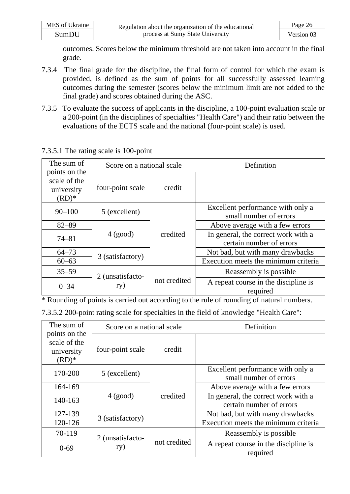| MES of Ukraine | Regulation about the organization of the educational | Page 26    |
|----------------|------------------------------------------------------|------------|
| SumDU          | process at Sumy State University                     | Version 03 |

outcomes. Scores below the minimum threshold are not taken into account in the final grade.

- 7.3.4 The final grade for the discipline, the final form of control for which the exam is provided, is defined as the sum of points for all successfully assessed learning outcomes during the semester (scores below the minimum limit are not added to the final grade) and scores obtained during the ASC.
- 7.3.5 To evaluate the success of applicants in the discipline, a 100-point evaluation scale or a 200-point (in the disciplines of specialties "Health Care") and their ratio between the evaluations of the ECTS scale and the national (four-point scale) is used.

| The sum of                                             | Score on a national scale |              | Definition                                                      |
|--------------------------------------------------------|---------------------------|--------------|-----------------------------------------------------------------|
| points on the<br>scale of the<br>university<br>$(RD)*$ | four-point scale          | credit       |                                                                 |
| $90 - 100$                                             | 5 (excellent)             |              | Excellent performance with only a<br>small number of errors     |
| $82 - 89$                                              |                           |              | Above average with a few errors                                 |
| $74 - 81$                                              | $4$ (good)                | credited     | In general, the correct work with a<br>certain number of errors |
| $64 - 73$                                              |                           |              | Not bad, but with many drawbacks                                |
| $60 - 63$                                              | 3 (satisfactory)          |              | Execution meets the minimum criteria                            |
| $35 - 59$                                              | 2 (unsatisfacto-          |              | Reassembly is possible.                                         |
| $0 - 34$                                               | ry)                       | not credited | A repeat course in the discipline is<br>required                |

7.3.5.1 The rating scale is 100-point

\* Rounding of points is carried out according to the rule of rounding of natural numbers.

| 7.3.5.2 200-point rating scale for specialties in the field of knowledge "Health Care": |  |  |
|-----------------------------------------------------------------------------------------|--|--|
|-----------------------------------------------------------------------------------------|--|--|

| The sum of                                             | Score on a national scale                            |              | Definition                                                      |
|--------------------------------------------------------|------------------------------------------------------|--------------|-----------------------------------------------------------------|
| points on the<br>scale of the<br>university<br>$(RD)*$ | four-point scale                                     | credit       |                                                                 |
| 170-200                                                | 5 (excellent)                                        |              | Excellent performance with only a<br>small number of errors     |
| 164-169                                                |                                                      |              | Above average with a few errors                                 |
| 140-163                                                | $4$ (good)                                           | credited     | In general, the correct work with a<br>certain number of errors |
| 127-139                                                | Not bad, but with many drawbacks<br>3 (satisfactory) |              |                                                                 |
| 120-126                                                |                                                      |              | Execution meets the minimum criteria                            |
| 70-119                                                 | 2 (unsatisfacto-                                     |              | Reassembly is possible.                                         |
| $0 - 69$                                               | ry)                                                  | not credited | A repeat course in the discipline is<br>required                |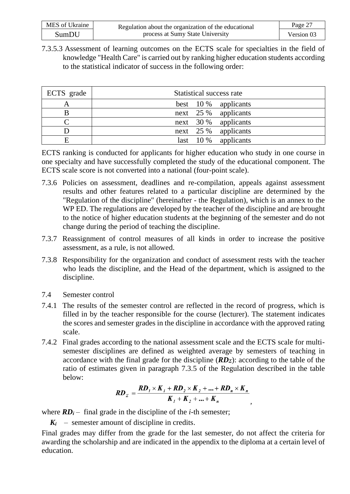| MES of Ukraine | Regulation about the organization of the educational | Page 27    |
|----------------|------------------------------------------------------|------------|
| SumDU          | process at Sumy State University                     | Version 03 |

7.3.5.3 Assessment of learning outcomes on the ECTS scale for specialties in the field of knowledge "Health Care" is carried out by ranking higher education students according to the statistical indicator of success in the following order:

| ECTS grade | Statistical success rate   |
|------------|----------------------------|
| A          | best $10\%$ applicants     |
|            | next 25 % applicants       |
|            | next $30\%$ applicants     |
|            | next 25 % applicants       |
|            | 10 %<br>applicants<br>last |

ECTS ranking is conducted for applicants for higher education who study in one course in one specialty and have successfully completed the study of the educational component. The ECTS scale score is not converted into a national (four-point scale).

- 7.3.6 Policies on assessment, deadlines and re-compilation, appeals against assessment results and other features related to a particular discipline are determined by the "Regulation of the discipline" (hereinafter - the Regulation), which is an annex to the WP ED. The regulations are developed by the teacher of the discipline and are brought to the notice of higher education students at the beginning of the semester and do not change during the period of teaching the discipline.
- 7.3.7 Reassignment of control measures of all kinds in order to increase the positive assessment, as a rule, is not allowed.
- 7.3.8 Responsibility for the organization and conduct of assessment rests with the teacher who leads the discipline, and the Head of the department, which is assigned to the discipline.
- 7.4 Semester control
- 7.4.1 The results of the semester control are reflected in the record of progress, which is filled in by the teacher responsible for the course (lecturer). The statement indicates the scores and semester grades in the discipline in accordance with the approved rating scale.
- 7.4.2 Final grades according to the national assessment scale and the ECTS scale for multisemester disciplines are defined as weighted average by semesters of teaching in accordance with the final grade for the discipline (*RDΣ*): according to the table of the ratio of estimates given in paragraph 7.3.5 of the Regulation described in the table below:

$$
RD_z = \frac{RD_1 \times K_1 + RD_2 \times K_2 + \dots + RD_n \times K_n}{K_1 + K_2 + \dots + K_n}
$$

*,*

where  $RD_i$  – final grade in the discipline of the *i*-th semester;

 $K_i$  – semester amount of discipline in credits.

Final grades may differ from the grade for the last semester, do not affect the criteria for awarding the scholarship and are indicated in the appendix to the diploma at a certain level of education.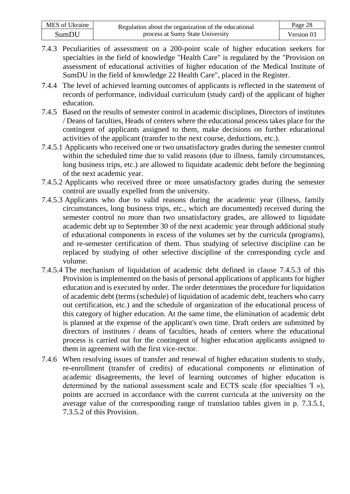| MES of Ukraine | Regulation about the organization of the educational | Page 28    |
|----------------|------------------------------------------------------|------------|
| SumDU          | process at Sumy State University                     | Version 03 |

- 7.4.3 Peculiarities of assessment on a 200-point scale of higher education seekers for specialties in the field of knowledge "Health Care" is regulated by the "Provision on assessment of educational activities of higher education of the Medical Institute of SumDU in the field of knowledge 22 Health Care", placed in the Register.
- 7.4.4 The level of achieved learning outcomes of applicants is reflected in the statement of records of performance, individual curriculum (study card) of the applicant of higher education.
- 7.4.5 Based on the results of semester control in academic disciplines, Directors of institutes / Deans of faculties, Heads of centers where the educational process takes place for the contingent of applicants assigned to them, make decisions on further educational activities of the applicant (transfer to the next course, deductions, etc.).
- 7.4.5.1 Applicants who received one or two unsatisfactory grades during the semester control within the scheduled time due to valid reasons (due to illness, family circumstances, long business trips, etc.) are allowed to liquidate academic debt before the beginning of the next academic year.
- 7.4.5.2 Applicants who received three or more unsatisfactory grades during the semester control are usually expelled from the university.
- 7.4.5.3 Applicants who due to valid reasons during the academic year (illness, family circumstances, long business trips, etc., which are documented) received during the semester control no more than two unsatisfactory grades, are allowed to liquidate academic debt up to September 30 of the next academic year through additional study of educational components in excess of the volumes set by the curricula (programs), and re-semester certification of them. Thus studying of selective discipline can be replaced by studying of other selective discipline of the corresponding cycle and volume.
- 7.4.5.4 The mechanism of liquidation of academic debt defined in clause 7.4.5.3 of this Provision is implemented on the basis of personal applications of applicants for higher education and is executed by order. The order determines the procedure for liquidation of academic debt (terms (schedule) of liquidation of academic debt, teachers who carry out certification, etc.) and the schedule of organization of the educational process of this category of higher education. At the same time, the elimination of academic debt is planned at the expense of the applicant's own time. Draft orders are submitted by directors of institutes / deans of faculties, heads of centers where the educational process is carried out for the contingent of higher education applicants assigned to them in agreement with the first vice-rector.
- 7.4.6 When resolving issues of transfer and renewal of higher education students to study, re-enrollment (transfer of credits) of educational components or elimination of academic disagreements, the level of learning outcomes of higher education is determined by the national assessment scale and ECTS scale (for specialties 'I »), points are accrued in accordance with the current curricula at the university on the average value of the corresponding range of translation tables given in p. 7.3.5.1, 7.3.5.2 of this Provision.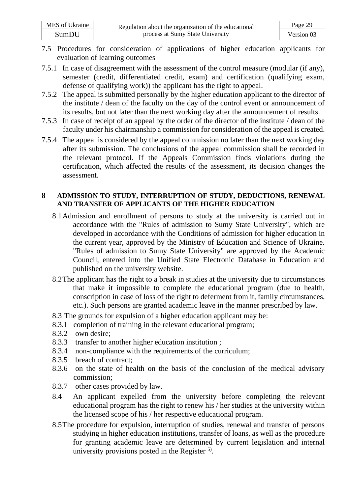| MES of Ukraine | Regulation about the organization of the educational | Page 29    |
|----------------|------------------------------------------------------|------------|
| SumDU          | process at Sumy State University                     | Version 03 |

- 7.5 Procedures for consideration of applications of higher education applicants for evaluation of learning outcomes
- 7.5.1 In case of disagreement with the assessment of the control measure (modular (if any), semester (credit, differentiated credit, exam) and certification (qualifying exam, defense of qualifying work)) the applicant has the right to appeal.
- 7.5.2 The appeal is submitted personally by the higher education applicant to the director of the institute / dean of the faculty on the day of the control event or announcement of its results, but not later than the next working day after the announcement of results.
- 7.5.3 In case of receipt of an appeal by the order of the director of the institute / dean of the faculty under his chairmanship a commission for consideration of the appeal is created.
- 7.5.4 The appeal is considered by the appeal commission no later than the next working day after its submission. The conclusions of the appeal commission shall be recorded in the relevant protocol. If the Appeals Commission finds violations during the certification, which affected the results of the assessment, its decision changes the assessment.

#### **8 ADMISSION TO STUDY, INTERRUPTION OF STUDY, DEDUCTIONS, RENEWAL AND TRANSFER OF APPLICANTS OF THE HIGHER EDUCATION**

- 8.1Admission and enrollment of persons to study at the university is carried out in accordance with the "Rules of admission to Sumy State University", which are developed in accordance with the Conditions of admission for higher education in the current year, approved by the Ministry of Education and Science of Ukraine. "Rules of admission to Sumy State University" are approved by the Academic Council, entered into the Unified State Electronic Database in Education and published on the university website.
- 8.2The applicant has the right to a break in studies at the university due to circumstances that make it impossible to complete the educational program (due to health, conscription in case of loss of the right to deferment from it, family circumstances, etc.). Such persons are granted academic leave in the manner prescribed by law.
- 8.3 The grounds for expulsion of a higher education applicant may be:
- 8.3.1 completion of training in the relevant educational program;
- 8.3.2 own desire;
- 8.3.3 transfer to another higher education institution ;
- 8.3.4 non-compliance with the requirements of the curriculum;
- 8.3.5 breach of contract;
- 8.3.6 on the state of health on the basis of the conclusion of the medical advisory commission;
- 8.3.7 other cases provided by law.
- 8.4 An applicant expelled from the university before completing the relevant educational program has the right to renew his / her studies at the university within the licensed scope of his / her respective educational program.
- 8.5The procedure for expulsion, interruption of studies, renewal and transfer of persons studying in higher education institutions, transfer of loans, as well as the procedure for granting academic leave are determined by current legislation and internal university provisions posted in the Register  $5$ .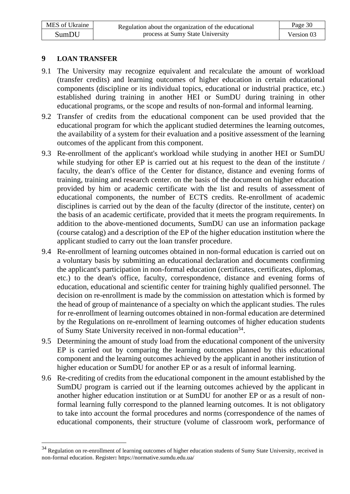#### **9 LOAN TRANSFER**

- 9.1 The University may recognize equivalent and recalculate the amount of workload (transfer credits) and learning outcomes of higher education in certain educational components (discipline or its individual topics, educational or industrial practice, etc.) established during training in another HEI or SumDU during training in other educational programs, or the scope and results of non-formal and informal learning.
- 9.2 Transfer of credits from the educational component can be used provided that the educational program for which the applicant studied determines the learning outcomes, the availability of a system for their evaluation and a positive assessment of the learning outcomes of the applicant from this component.
- 9.3 Re-enrollment of the applicant's workload while studying in another HEI or SumDU while studying for other EP is carried out at his request to the dean of the institute / faculty, the dean's office of the Center for distance, distance and evening forms of training, training and research center. on the basis of the document on higher education provided by him or academic certificate with the list and results of assessment of educational components, the number of ECTS credits. Re-enrollment of academic disciplines is carried out by the dean of the faculty (director of the institute, center) on the basis of an academic certificate, provided that it meets the program requirements. In addition to the above-mentioned documents, SumDU can use an information package (course catalog) and a description of the EP of the higher education institution where the applicant studied to carry out the loan transfer procedure.
- 9.4 Re-enrollment of learning outcomes obtained in non-formal education is carried out on a voluntary basis by submitting an educational declaration and documents confirming the applicant's participation in non-formal education (certificates, certificates, diplomas, etc.) to the dean's office, faculty, correspondence, distance and evening forms of education, educational and scientific center for training highly qualified personnel. The decision on re-enrollment is made by the commission on attestation which is formed by the head of group of maintenance of a specialty on which the applicant studies. The rules for re-enrollment of learning outcomes obtained in non-formal education are determined by the Regulations on re-enrollment of learning outcomes of higher education students of Sumy State University received in non-formal education<sup>34</sup>.
- 9.5 Determining the amount of study load from the educational component of the university EP is carried out by comparing the learning outcomes planned by this educational component and the learning outcomes achieved by the applicant in another institution of higher education or SumDU for another EP or as a result of informal learning.
- 9.6 Re-crediting of credits from the educational component in the amount established by the SumDU program is carried out if the learning outcomes achieved by the applicant in another higher education institution or at SumDU for another EP or as a result of nonformal learning fully correspond to the planned learning outcomes. It is not obligatory to take into account the formal procedures and norms (correspondence of the names of educational components, their structure (volume of classroom work, performance of

<sup>&</sup>lt;sup>34</sup> Regulation on re-enrollment of learning outcomes of higher education students of Sumy State University, received in non-formal education. Register**:** <https://normative.sumdu.edu.ua/>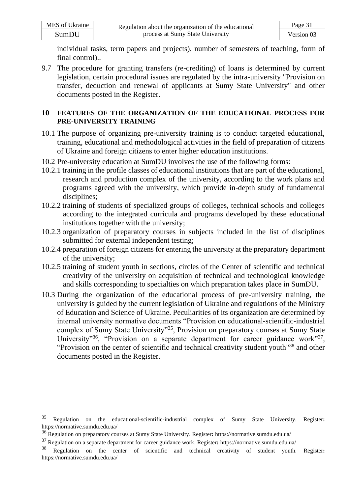| MES of Ukraine | Regulation about the organization of the educational | Page 31    |
|----------------|------------------------------------------------------|------------|
| SumDU          | process at Sumy State University                     | Version 03 |

individual tasks, term papers and projects), number of semesters of teaching, form of final control)..

9.7 The procedure for granting transfers (re-crediting) of loans is determined by current legislation, certain procedural issues are regulated by the intra-university "Provision on transfer, deduction and renewal of applicants at Sumy State University" and other documents posted in the Register.

#### **10 FEATURES OF THE ORGANIZATION OF THE EDUCATIONAL PROCESS FOR PRE-UNIVERSITY TRAINING**

- 10.1 The purpose of organizing pre-university training is to conduct targeted educational, training, educational and methodological activities in the field of preparation of citizens of Ukraine and foreign citizens to enter higher education institutions.
- 10.2 Pre-university education at SumDU involves the use of the following forms:
- 10.2.1 training in the profile classes of educational institutions that are part of the educational, research and production complex of the university, according to the work plans and programs agreed with the university, which provide in-depth study of fundamental disciplines;
- 10.2.2 training of students of specialized groups of colleges, technical schools and colleges according to the integrated curricula and programs developed by these educational institutions together with the university;
- 10.2.3 organization of preparatory courses in subjects included in the list of disciplines submitted for external independent testing;
- 10.2.4 preparation of foreign citizens for entering the university at the preparatory department of the university;
- 10.2.5 training of student youth in sections, circles of the Center of scientific and technical creativity of the university on acquisition of technical and technological knowledge and skills corresponding to specialties on which preparation takes place in SumDU.
- 10.3 During the organization of the educational process of pre-university training, the university is guided by the current legislation of Ukraine and regulations of the Ministry of Education and Science of Ukraine. Peculiarities of its organization are determined by internal university normative documents "Provision on educational-scientific-industrial complex of Sumy State University"<sup>35</sup>, Provision on preparatory courses at Sumy State University<sup>35</sup>, "Provision on a separate department for career guidance work<sup>37</sup>, "Provision on the center of scientific and technical creativity student youth<sup>"38</sup> and other documents posted in the Register.

<sup>35</sup> Regulation on the educational-scientific-industrial complex of Sumy State University. Register**:**  <https://normative.sumdu.edu.ua/>

<sup>36</sup> Regulation on preparatory courses at Sumy State University. Register**:** <https://normative.sumdu.edu.ua/>

<sup>37</sup> Regulation on a separate department for career guidance work. Register**:** <https://normative.sumdu.edu.ua/>

<sup>38</sup> Regulation on the center of scientific and technical creativity of student youth. Register**:**  <https://normative.sumdu.edu.ua/>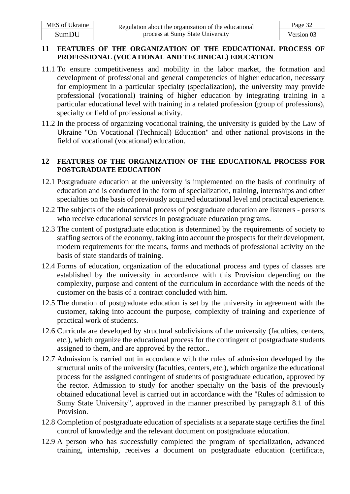#### **11 FEATURES OF THE ORGANIZATION OF THE EDUCATIONAL PROCESS OF PROFESSIONAL (VOCATIONAL AND TECHNICAL) EDUCATION**

- 11.1 To ensure competitiveness and mobility in the labor market, the formation and development of professional and general competencies of higher education, necessary for employment in a particular specialty (specialization), the university may provide professional (vocational) training of higher education by integrating training in a particular educational level with training in a related profession (group of professions), specialty or field of professional activity.
- 11.2 In the process of organizing vocational training, the university is guided by the Law of Ukraine "On Vocational (Technical) Education" and other national provisions in the field of vocational (vocational) education.

### **12 FEATURES OF THE ORGANIZATION OF THE EDUCATIONAL PROCESS FOR POSTGRADUATE EDUCATION**

- 12.1 Postgraduate education at the university is implemented on the basis of continuity of education and is conducted in the form of specialization, training, internships and other specialties on the basis of previously acquired educational level and practical experience.
- 12.2 The subjects of the educational process of postgraduate education are listeners persons who receive educational services in postgraduate education programs.
- 12.3 The content of postgraduate education is determined by the requirements of society to staffing sectors of the economy, taking into account the prospects for their development, modern requirements for the means, forms and methods of professional activity on the basis of state standards of training.
- 12.4 Forms of education, organization of the educational process and types of classes are established by the university in accordance with this Provision depending on the complexity, purpose and content of the curriculum in accordance with the needs of the customer on the basis of a contract concluded with him.
- 12.5 The duration of postgraduate education is set by the university in agreement with the customer, taking into account the purpose, complexity of training and experience of practical work of students.
- 12.6 Curricula are developed by structural subdivisions of the university (faculties, centers, etc.), which organize the educational process for the contingent of postgraduate students assigned to them, and are approved by the rector..
- 12.7 Admission is carried out in accordance with the rules of admission developed by the structural units of the university (faculties, centers, etc.), which organize the educational process for the assigned contingent of students of postgraduate education, approved by the rector. Admission to study for another specialty on the basis of the previously obtained educational level is carried out in accordance with the "Rules of admission to Sumy State University", approved in the manner prescribed by paragraph 8.1 of this Provision.
- 12.8 Completion of postgraduate education of specialists at a separate stage certifies the final control of knowledge and the relevant document on postgraduate education.
- 12.9 A person who has successfully completed the program of specialization, advanced training, internship, receives a document on postgraduate education (certificate,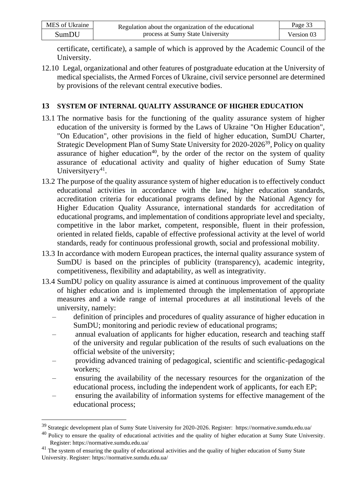| MES of Ukraine | Regulation about the organization of the educational | Page 33    |
|----------------|------------------------------------------------------|------------|
| SumDU          | process at Sumy State University                     | Version 03 |

certificate, certificate), a sample of which is approved by the Academic Council of the University.

12.10 Legal, organizational and other features of postgraduate education at the University of medical specialists, the Armed Forces of Ukraine, civil service personnel are determined by provisions of the relevant central executive bodies.

# **13 SYSTEM OF INTERNAL QUALITY ASSURANCE OF HIGHER EDUCATION**

- 13.1 The normative basis for the functioning of the quality assurance system of higher education of the university is formed by the Laws of Ukraine "On Higher Education", "On Education", other provisions in the field of higher education, SumDU Charter, Strategic Development Plan of Sumy State University for 2020-2026<sup>39</sup>, Policy on quality assurance of higher education<sup>40</sup>, by the order of the rector on the system of quality assurance of educational activity and quality of higher education of Sumy State University  $e^{-41}$ .
- 13.2 The purpose of the quality assurance system of higher education is to effectively conduct educational activities in accordance with the law, higher education standards, accreditation criteria for educational programs defined by the National Agency for Higher Education Quality Assurance, international standards for accreditation of educational programs, and implementation of conditions appropriate level and specialty, competitive in the labor market, competent, responsible, fluent in their profession, oriented in related fields, capable of effective professional activity at the level of world standards, ready for continuous professional growth, social and professional mobility.
- 13.3 In accordance with modern European practices, the internal quality assurance system of SumDU is based on the principles of publicity (transparency), academic integrity, competitiveness, flexibility and adaptability, as well as integrativity.
- 13.4 SumDU policy on quality assurance is aimed at continuous improvement of the quality of higher education and is implemented through the implementation of appropriate measures and a wide range of internal procedures at all institutional levels of the university, namely:
	- definition of principles and procedures of quality assurance of higher education in SumDU; monitoring and periodic review of educational programs;
	- annual evaluation of applicants for higher education, research and teaching staff of the university and regular publication of the results of such evaluations on the official website of the university;
	- providing advanced training of pedagogical, scientific and scientific-pedagogical workers;
	- ensuring the availability of the necessary resources for the organization of the educational process, including the independent work of applicants, for each EP;
	- ensuring the availability of information systems for effective management of the educational process;

<sup>39</sup> Strategic development plan of Sumy State University for 2020-2026. Register: [https://normative.sumdu.edu.ua/](http://www.sumdu.edu.ua/ukr/general/normative-base.html)

 $40$  Policy to ensure the quality of educational activities and the quality of higher education at Sumy State University. Register: https://normative.sumdu.edu.ua/

<sup>&</sup>lt;sup>41</sup> The system of ensuring the quality of educational activities and the quality of higher education of Sumy State University. Register: https://normative.sumdu.edu.ua/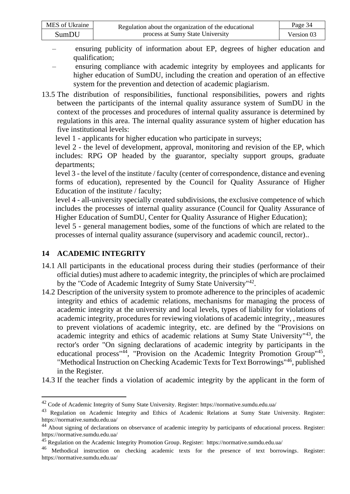| MES of Ukraine | Regulation about the organization of the educational | Page 34    |
|----------------|------------------------------------------------------|------------|
| SumDU          | process at Sumy State University                     | Version 03 |

- ensuring publicity of information about EP, degrees of higher education and qualification;
- ensuring compliance with academic integrity by employees and applicants for higher education of SumDU, including the creation and operation of an effective system for the prevention and detection of academic plagiarism.
- 13.5 The distribution of responsibilities, functional responsibilities, powers and rights between the participants of the internal quality assurance system of SumDU in the context of the processes and procedures of internal quality assurance is determined by regulations in this area. The internal quality assurance system of higher education has five institutional levels:
	- level 1 applicants for higher education who participate in surveys;

level 2 - the level of development, approval, monitoring and revision of the EP, which includes: RPG OP headed by the guarantor, specialty support groups, graduate departments;

level 3 - the level of the institute / faculty (center of correspondence, distance and evening forms of education), represented by the Council for Quality Assurance of Higher Education of the institute / faculty;

level 4 - all-university specially created subdivisions, the exclusive competence of which includes the processes of internal quality assurance (Council for Quality Assurance of Higher Education of SumDU, Center for Quality Assurance of Higher Education);

level 5 - general management bodies, some of the functions of which are related to the processes of internal quality assurance (supervisory and academic council, rector)..

# **14 ACADEMIC INTEGRITY**

- 14.1 All participants in the educational process during their studies (performance of their official duties) must adhere to academic integrity, the principles of which are proclaimed by the "Code of Academic Integrity of Sumy State University"<sup>42</sup>.
- 14.2 Description of the university system to promote adherence to the principles of academic integrity and ethics of academic relations, mechanisms for managing the process of academic integrity at the university and local levels, types of liability for violations of academic integrity, procedures for reviewing violations of academic integrity, , measures to prevent violations of academic integrity, etc. are defined by the "Provisions on academic integrity and ethics of academic relations at Sumy State University"<sup>43</sup> , the rector's order "On signing declarations of academic integrity by participants in the educational process<sup>"44</sup>, "Provision on the Academic Integrity Promotion Group"<sup>45</sup>, "Methodical Instruction on Checking Academic Texts for Text Borrowings"<sup>46</sup> , published in the Register.
- 14.3 If the teacher finds a violation of academic integrity by the applicant in the form of

<sup>42</sup> Code of Academic Integrity of Sumy State University. Register:<https://normative.sumdu.edu.ua/>

<sup>&</sup>lt;sup>43</sup>Regulation on Academic Integrity and Ethics of Academic Relations at Sumy State University. Register: [https://normative.sumdu.edu.ua/](http://www.sumdu.edu.ua/ukr/general/normative-base.html)

<sup>&</sup>lt;sup>44</sup>About signing of declarations on observance of academic integrity by participants of educational process. Register: [https://normative.sumdu.edu.ua/](http://www.sumdu.edu.ua/ukr/general/normative-base.html)

<sup>45</sup> Regulation on the Academic Integrity Promotion Group. Register: [https://normative.sumdu.edu.ua/](http://www.sumdu.edu.ua/ukr/general/normative-base.html)

<sup>&</sup>lt;sup>46</sup>Methodical instruction on checking academic texts for the presence of text borrowings. Register: [https://normative.sumdu.edu.ua/](http://www.sumdu.edu.ua/ukr/general/normative-base.html)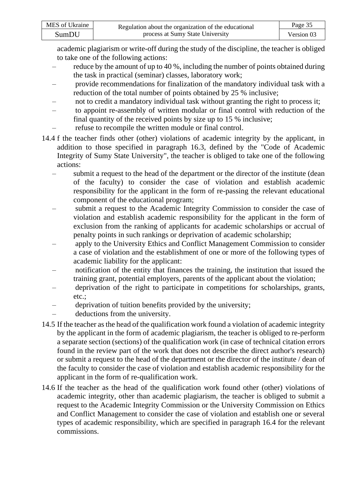| MES of Ukraine | Regulation about the organization of the educational | Page 35    |
|----------------|------------------------------------------------------|------------|
| SumDU          | process at Sumy State University                     | Version 03 |

academic plagiarism or write-off during the study of the discipline, the teacher is obliged to take one of the following actions:

- reduce by the amount of up to 40 %, including the number of points obtained during the task in practical (seminar) classes, laboratory work;
- provide recommendations for finalization of the mandatory individual task with a reduction of the total number of points obtained by 25 % inclusive;
- not to credit a mandatory individual task without granting the right to process it;
- to appoint re-assembly of written modular or final control with reduction of the final quantity of the received points by size up to 15 % inclusive;
- refuse to recompile the written module or final control.
- 14.4 f the teacher finds other (other) violations of academic integrity by the applicant, in addition to those specified in paragraph 16.3, defined by the "Code of Academic Integrity of Sumy State University", the teacher is obliged to take one of the following actions:
	- submit a request to the head of the department or the director of the institute (dean of the faculty) to consider the case of violation and establish academic responsibility for the applicant in the form of re-passing the relevant educational component of the educational program;
	- submit a request to the Academic Integrity Commission to consider the case of violation and establish academic responsibility for the applicant in the form of exclusion from the ranking of applicants for academic scholarships or accrual of penalty points in such rankings or deprivation of academic scholarship;
	- apply to the University Ethics and Conflict Management Commission to consider a case of violation and the establishment of one or more of the following types of academic liability for the applicant:
	- notification of the entity that finances the training, the institution that issued the training grant, potential employers, parents of the applicant about the violation;
	- deprivation of the right to participate in competitions for scholarships, grants, etc.;
	- deprivation of tuition benefits provided by the university;
	- deductions from the university.
- 14.5 If the teacher as the head of the qualification work found a violation of academic integrity by the applicant in the form of academic plagiarism, the teacher is obliged to re-perform a separate section (sections) of the qualification work (in case of technical citation errors found in the review part of the work that does not describe the direct author's research) or submit a request to the head of the department or the director of the institute / dean of the faculty to consider the case of violation and establish academic responsibility for the applicant in the form of re-qualification work.
- 14.6 If the teacher as the head of the qualification work found other (other) violations of academic integrity, other than academic plagiarism, the teacher is obliged to submit a request to the Academic Integrity Commission or the University Commission on Ethics and Conflict Management to consider the case of violation and establish one or several types of academic responsibility, which are specified in paragraph 16.4 for the relevant commissions.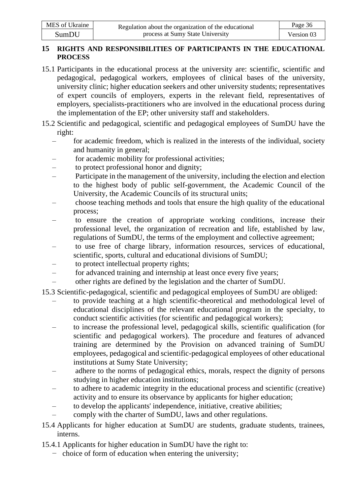### **15 RIGHTS AND RESPONSIBILITIES OF PARTICIPANTS IN THE EDUCATIONAL PROCESS**

- 15.1 Participants in the educational process at the university are: scientific, scientific and pedagogical, pedagogical workers, employees of clinical bases of the university, university clinic; higher education seekers and other university students; representatives of expert councils of employers, experts in the relevant field, representatives of employers, specialists-practitioners who are involved in the educational process during the implementation of the EP; other university staff and stakeholders.
- 15.2 Scientific and pedagogical, scientific and pedagogical employees of SumDU have the right:
	- for academic freedom, which is realized in the interests of the individual, society and humanity in general;
	- for academic mobility for professional activities;
	- to protect professional honor and dignity;
	- Participate in the management of the university, including the election and election to the highest body of public self-government, the Academic Council of the University, the Academic Councils of its structural units;
	- choose teaching methods and tools that ensure the high quality of the educational process;
	- to ensure the creation of appropriate working conditions, increase their professional level, the organization of recreation and life, established by law, regulations of SumDU, the terms of the employment and collective agreement;
	- to use free of charge library, information resources, services of educational, scientific, sports, cultural and educational divisions of SumDU;
	- to protect intellectual property rights;
	- for advanced training and internship at least once every five years;
	- other rights are defined by the legislation and the charter of SumDU.
- 15.3 Scientific-pedagogical, scientific and pedagogical employees of SumDU are obliged:
	- to provide teaching at a high scientific-theoretical and methodological level of educational disciplines of the relevant educational program in the specialty, to conduct scientific activities (for scientific and pedagogical workers);
	- to increase the professional level, pedagogical skills, scientific qualification (for scientific and pedagogical workers). The procedure and features of advanced training are determined by the Provision on advanced training of SumDU employees, pedagogical and scientific-pedagogical employees of other educational institutions at Sumy State University;
	- adhere to the norms of pedagogical ethics, morals, respect the dignity of persons studying in higher education institutions;
	- to adhere to academic integrity in the educational process and scientific (creative) activity and to ensure its observance by applicants for higher education;
	- to develop the applicants' independence, initiative, creative abilities;
	- comply with the charter of SumDU, laws and other regulations.
- 15.4 Applicants for higher education at SumDU are students, graduate students, trainees, interns.
- 15.4.1 Applicants for higher education in SumDU have the right to:
	- − choice of form of education when entering the university;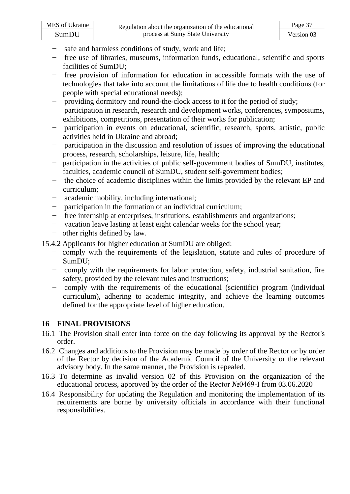| MES of Ukraine | Regulation about the organization of the educational | Page 37    |
|----------------|------------------------------------------------------|------------|
| SumDU          | process at Sumy State University                     | Version 03 |

- − safe and harmless conditions of study, work and life;
- − free use of libraries, museums, information funds, educational, scientific and sports facilities of SumDU;
- − free provision of information for education in accessible formats with the use of technologies that take into account the limitations of life due to health conditions (for people with special educational needs);
- − providing dormitory and round-the-clock access to it for the period of study;
- participation in research, research and development works, conferences, symposiums, exhibitions, competitions, presentation of their works for publication;
- − participation in events on educational, scientific, research, sports, artistic, public activities held in Ukraine and abroad;
- participation in the discussion and resolution of issues of improving the educational process, research, scholarships, leisure, life, health;
- − participation in the activities of public self-government bodies of SumDU, institutes, faculties, academic council of SumDU, student self-government bodies;
- − the choice of academic disciplines within the limits provided by the relevant EP and curriculum;
- − academic mobility, including international;
- − participation in the formation of an individual curriculum;
- − free internship at enterprises, institutions, establishments and organizations;
- − vacation leave lasting at least eight calendar weeks for the school year;
- − other rights defined by law.
- 15.4.2 Applicants for higher education at SumDU are obliged:
	- − comply with the requirements of the legislation, statute and rules of procedure of SumDU;
	- − comply with the requirements for labor protection, safety, industrial sanitation, fire safety, provided by the relevant rules and instructions;
	- − comply with the requirements of the educational (scientific) program (individual curriculum), adhering to academic integrity, and achieve the learning outcomes defined for the appropriate level of higher education.

#### **16 FINAL PROVISIONS**

- 16.1 The Provision shall enter into force on the day following its approval by the Rector's order.
- 16.2 Changes and additions to the Provision may be made by order of the Rector or by order of the Rector by decision of the Academic Council of the University or the relevant advisory body. In the same manner, the Provision is repealed.
- 16.3 To determine as invalid version 02 of this Provision on the organization of the educational process, approved by the order of the Rector №0469-I from 03.06.2020
- 16.4 Responsibility for updating the Regulation and monitoring the implementation of its requirements are borne by university officials in accordance with their functional responsibilities.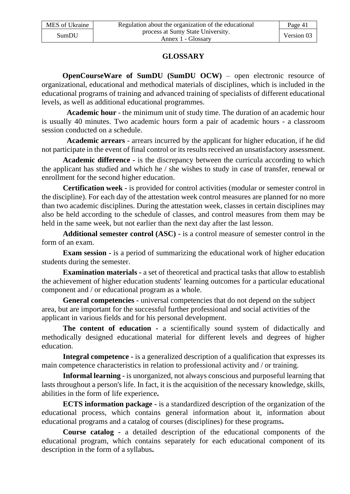# **GLOSSARY**

**OpenCourseWare of SumDU (SumDU OCW)** – open electronic resource of organizational, educational and methodical materials of disciplines, which is included in the educational programs of training and advanced training of specialists of different educational levels, as well as additional educational programmes.

**Academic hour** - the minimum unit of study time. The duration of an academic hour is usually 40 minutes. Two academic hours form a pair of academic hours - a classroom session conducted on a schedule.

**Academic arrears** - arrears incurred by the applicant for higher education, if he did not participate in the event of final control or its results received an unsatisfactory assessment.

**Academic difference -** is the discrepancy between the curricula according to which the applicant has studied and which he / she wishes to study in case of transfer, renewal or enrollment for the second higher education.

**Certification week -** is provided for control activities (modular or semester control in the discipline). For each day of the attestation week control measures are planned for no more than two academic disciplines. During the attestation week, classes in certain disciplines may also be held according to the schedule of classes, and control measures from them may be held in the same week, but not earlier than the next day after the last lesson.

**Additional semester control (ASC) -** is a control measure of semester control in the form of an exam.

**Exam session -** is a period of summarizing the educational work of higher education students during the semester.

**Examination materials -** a set of theoretical and practical tasks that allow to establish the achievement of higher education students' learning outcomes for a particular educational component and / or educational program as a whole.

**General competencies -** universal competencies that do not depend on the subject area, but are important for the successful further professional and social activities of the applicant in various fields and for his personal development.

**The content of education -** a scientifically sound system of didactically and methodically designed educational material for different levels and degrees of higher education.

**Integral competence -** is a generalized description of a qualification that expresses its main competence characteristics in relation to professional activity and / or training.

**Informal learning -** is unorganized, not always conscious and purposeful learning that lasts throughout a person's life. In fact, it is the acquisition of the necessary knowledge, skills, abilities in the form of life experience**.**

**ECTS information package -** is a standardized description of the organization of the educational process, which contains general information about it, information about educational programs and a catalog of courses (disciplines) for these programs**.**

**Course catalog -** a detailed description of the educational components of the educational program, which contains separately for each educational component of its description in the form of a syllabus**.**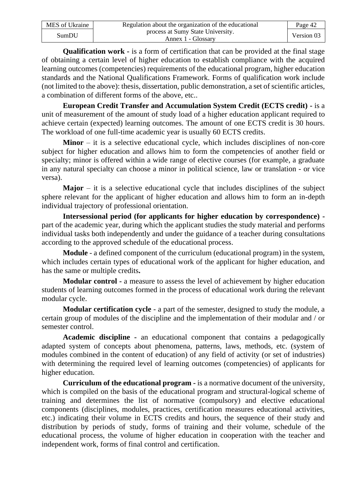| MES of Ukraine | Regulation about the organization of the educational    | Page 42    |
|----------------|---------------------------------------------------------|------------|
| SumDU          | process at Sumy State University.<br>Annex 1 - Glossary | Version 03 |

**Qualification work -** is a form of certification that can be provided at the final stage of obtaining a certain level of higher education to establish compliance with the acquired learning outcomes (competencies) requirements of the educational program, higher education standards and the National Qualifications Framework. Forms of qualification work include (not limited to the above): thesis, dissertation, public demonstration, a set of scientific articles, a combination of different forms of the above, etc..

**European Credit Transfer and Accumulation System Credit (ECTS credit) -** is a unit of measurement of the amount of study load of a higher education applicant required to achieve certain (expected) learning outcomes. The amount of one ECTS credit is 30 hours. The workload of one full-time academic year is usually 60 ECTS credits.

**Minor** – it is a selective educational cycle, which includes disciplines of non-core subject for higher education and allows him to form the competencies of another field or specialty; minor is offered within a wide range of elective courses (for example, a graduate in any natural specialty can choose a minor in political science, law or translation - or vice versa).

**Major** – it is a selective educational cycle that includes disciplines of the subject sphere relevant for the applicant of higher education and allows him to form an in-depth individual trajectory of professional orientation.

**Intersessional period (for applicants for higher education by correspondence)**  part of the academic year, during which the applicant studies the study material and performs individual tasks both independently and under the guidance of a teacher during consultations according to the approved schedule of the educational process.

**Module** - a defined component of the curriculum (educational program) in the system, which includes certain types of educational work of the applicant for higher education, and has the same or multiple credits**.**

**Modular control -** a measure to assess the level of achievement by higher education students of learning outcomes formed in the process of educational work during the relevant modular cycle.

**Modular certification cycle** - a part of the semester, designed to study the module, a certain group of modules of the discipline and the implementation of their modular and / or semester control.

**Academic discipline -** an educational component that contains a pedagogically adapted system of concepts about phenomena, patterns, laws, methods, etc. (system of modules combined in the content of education) of any field of activity (or set of industries) with determining the required level of learning outcomes (competencies) of applicants for higher education.

**Curriculum of the educational program -** is a normative document of the university, which is compiled on the basis of the educational program and structural-logical scheme of training and determines the list of normative (compulsory) and elective educational components (disciplines, modules, practices, certification measures educational activities, etc.) indicating their volume in ECTS credits and hours, the sequence of their study and distribution by periods of study, forms of training and their volume, schedule of the educational process, the volume of higher education in cooperation with the teacher and independent work, forms of final control and certification.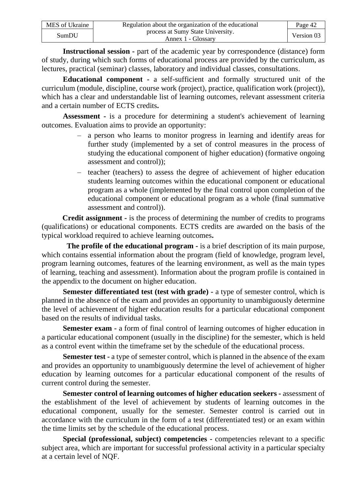| MES of Ukraine | Regulation about the organization of the educational    | Page 42    |
|----------------|---------------------------------------------------------|------------|
| SumDU          | process at Sumy State University.<br>Annex 1 - Glossary | Version 03 |

**Instructional session -** part of the academic year by correspondence (distance) form of study, during which such forms of educational process are provided by the curriculum, as lectures, practical (seminar) classes, laboratory and individual classes, consultations.

**Educational component -** a self-sufficient and formally structured unit of the curriculum (module, discipline, course work (project), practice, qualification work (project)), which has a clear and understandable list of learning outcomes, relevant assessment criteria and a certain number of ECTS credits**.**

**Assessment -** is a procedure for determining a student's achievement of learning outcomes. Evaluation aims to provide an opportunity:

- a person who learns to monitor progress in learning and identify areas for further study (implemented by a set of control measures in the process of studying the educational component of higher education) (formative ongoing assessment and control));
- teacher (teachers) to assess the degree of achievement of higher education students learning outcomes within the educational component or educational program as a whole (implemented by the final control upon completion of the educational component or educational program as a whole (final summative assessment and control)).

**Credit assignment -** is the process of determining the number of credits to programs (qualifications) or educational components. ECTS credits are awarded on the basis of the typical workload required to achieve learning outcomes**.**

**The profile of the educational program -** is a brief description of its main purpose, which contains essential information about the program (field of knowledge, program level, program learning outcomes, features of the learning environment, as well as the main types of learning, teaching and assessment). Information about the program profile is contained in the appendix to the document on higher education.

**Semester differentiated test (test with grade) -** a type of semester control, which is planned in the absence of the exam and provides an opportunity to unambiguously determine the level of achievement of higher education results for a particular educational component based on the results of individual tasks.

**Semester exam -** a form of final control of learning outcomes of higher education in a particular educational component (usually in the discipline) for the semester, which is held as a control event within the timeframe set by the schedule of the educational process.

**Semester test -** a type of semester control, which is planned in the absence of the exam and provides an opportunity to unambiguously determine the level of achievement of higher education by learning outcomes for a particular educational component of the results of current control during the semester.

**Semester control of learning outcomes of higher education seekers -** assessment of the establishment of the level of achievement by students of learning outcomes in the educational component, usually for the semester. Semester control is carried out in accordance with the curriculum in the form of a test (differentiated test) or an exam within the time limits set by the schedule of the educational process.

**Special (professional, subject) competencies -** competencies relevant to a specific subject area, which are important for successful professional activity in a particular specialty at a certain level of NQF.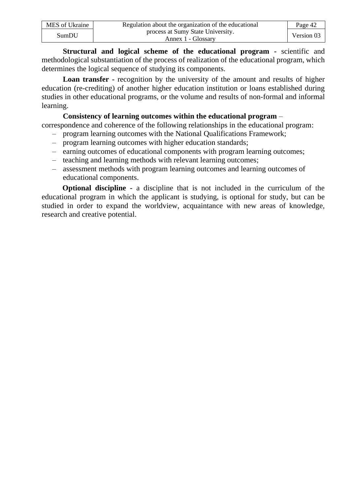| MES of Ukraine | Regulation about the organization of the educational    | Page 42    |
|----------------|---------------------------------------------------------|------------|
| SumDU          | process at Sumy State University.<br>Annex 1 - Glossary | Version 03 |

**Structural and logical scheme of the educational program -** scientific and methodological substantiation of the process of realization of the educational program, which determines the logical sequence of studying its components.

**Loan transfer -** recognition by the university of the amount and results of higher education (re-crediting) of another higher education institution or loans established during studies in other educational programs, or the volume and results of non-formal and informal learning.

#### **Consistency of learning outcomes within the educational program** –

correspondence and coherence of the following relationships in the educational program:

- program learning outcomes with the National Qualifications Framework;
- program learning outcomes with higher education standards;
- earning outcomes of educational components with program learning outcomes;
- teaching and learning methods with relevant learning outcomes;
- assessment methods with program learning outcomes and learning outcomes of educational components.

**Optional discipline -** a discipline that is not included in the curriculum of the educational program in which the applicant is studying, is optional for study, but can be studied in order to expand the worldview, acquaintance with new areas of knowledge, research and creative potential.